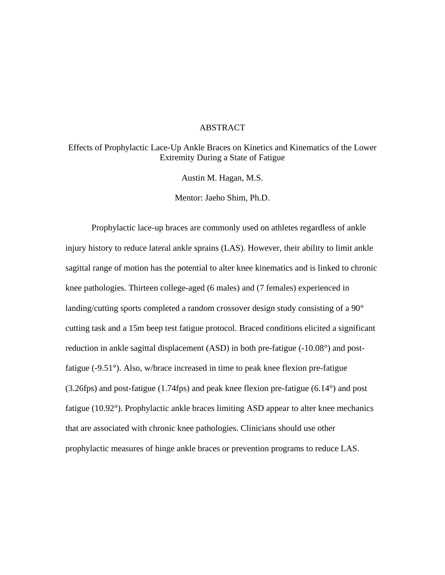# ABSTRACT

Effects of Prophylactic Lace-Up Ankle Braces on Kinetics and Kinematics of the Lower Extremity During a State of Fatigue

Austin M. Hagan, M.S.

Mentor: Jaeho Shim, Ph.D.

Prophylactic lace-up braces are commonly used on athletes regardless of ankle injury history to reduce lateral ankle sprains (LAS). However, their ability to limit ankle sagittal range of motion has the potential to alter knee kinematics and is linked to chronic knee pathologies. Thirteen college-aged (6 males) and (7 females) experienced in landing/cutting sports completed a random crossover design study consisting of a 90° cutting task and a 15m beep test fatigue protocol. Braced conditions elicited a significant reduction in ankle sagittal displacement (ASD) in both pre-fatigue (-10.08°) and postfatigue (-9.51°). Also, w/brace increased in time to peak knee flexion pre-fatigue (3.26fps) and post-fatigue (1.74fps) and peak knee flexion pre-fatigue (6.14°) and post fatigue (10.92°). Prophylactic ankle braces limiting ASD appear to alter knee mechanics that are associated with chronic knee pathologies. Clinicians should use other prophylactic measures of hinge ankle braces or prevention programs to reduce LAS.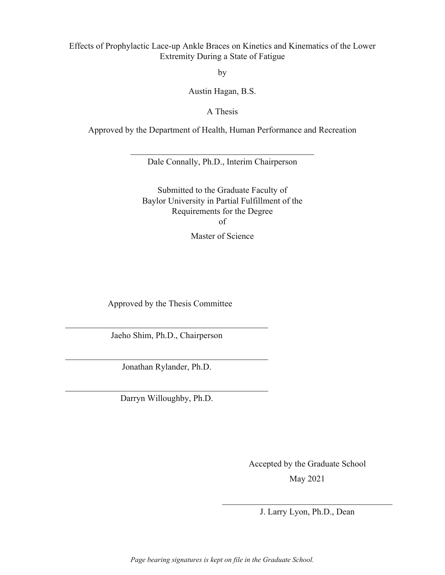# Effects of Prophylactic Lace-up Ankle Braces on Kinetics and Kinematics of the Lower Extremity During a State of Fatigue

by

Austin Hagan, B.S.

A Thesis

Approved by the Department of Health, Human Performance and Recreation

Dale Connally, Ph.D., Interim Chairperson

Submitted to the Graduate Faculty of Baylor University in Partial Fulfillment of the Requirements for the Degree of

Master of Science

Approved by the Thesis Committee

Jaeho Shim, Ph.D., Chairperson

Jonathan Rylander, Ph.D.

Darryn Willoughby, Ph.D.

Accepted by the Graduate School May 2021

J. Larry Lyon, Ph.D., Dean

*Page bearing signatures is kept on file in the Graduate School.*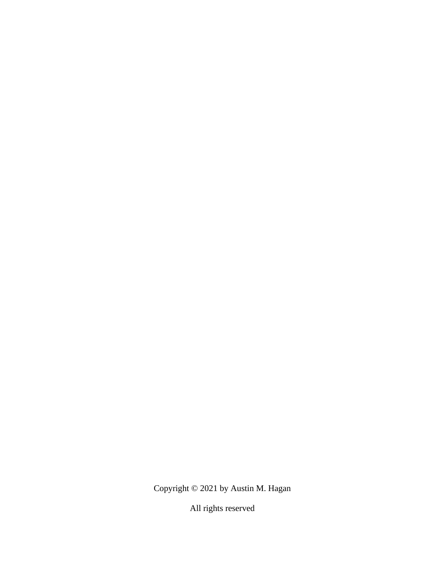Copyright © 2021 by Austin M. Hagan

All rights reserved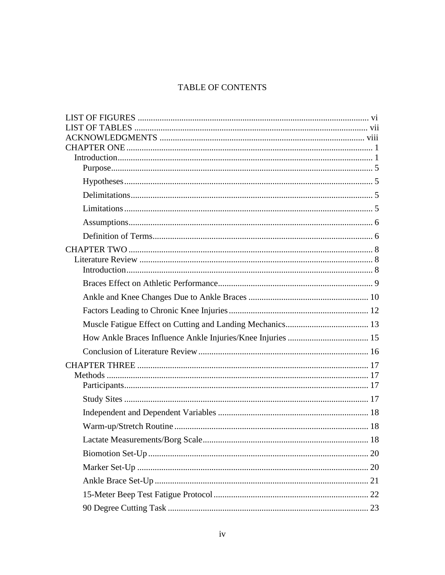# TABLE OF CONTENTS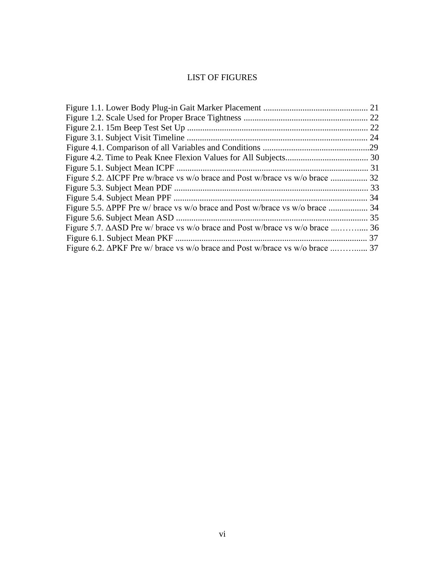# LIST OF FIGURES

|                                                                              | 24 |
|------------------------------------------------------------------------------|----|
|                                                                              |    |
|                                                                              |    |
|                                                                              |    |
| Figure 5.2. ΔICPF Pre w/brace vs w/o brace and Post w/brace vs w/o brace  32 |    |
|                                                                              |    |
|                                                                              |    |
|                                                                              |    |
|                                                                              |    |
| Figure 5.7. ΔASD Pre w/ brace vs w/o brace and Post w/brace vs w/o brace  36 |    |
|                                                                              |    |
| Figure 6.2. ΔPKF Pre w/ brace vs w/o brace and Post w/brace vs w/o brace  37 |    |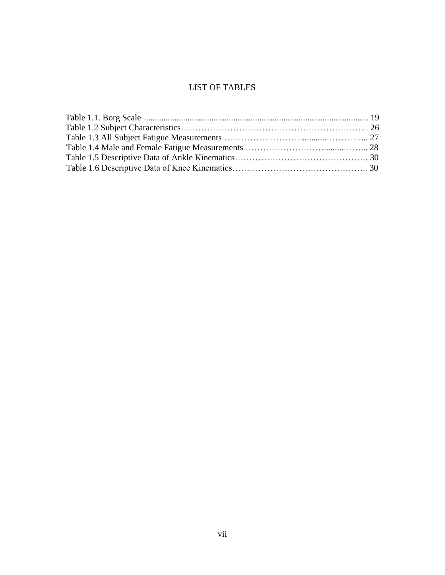# LIST OF TABLES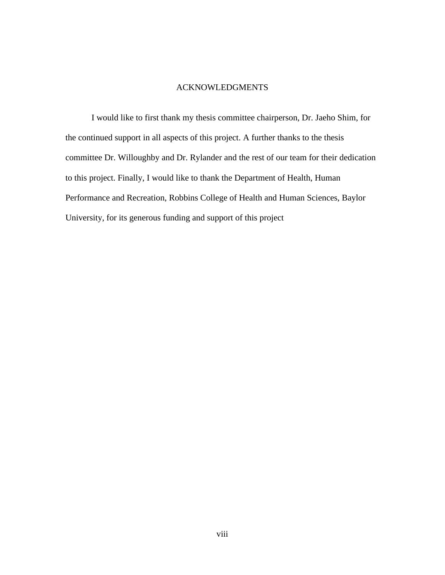# ACKNOWLEDGMENTS

<span id="page-7-0"></span>I would like to first thank my thesis committee chairperson, Dr. Jaeho Shim, for the continued support in all aspects of this project. A further thanks to the thesis committee Dr. Willoughby and Dr. Rylander and the rest of our team for their dedication to this project. Finally, I would like to thank the Department of Health, Human Performance and Recreation, Robbins College of Health and Human Sciences, Baylor University, for its generous funding and support of this project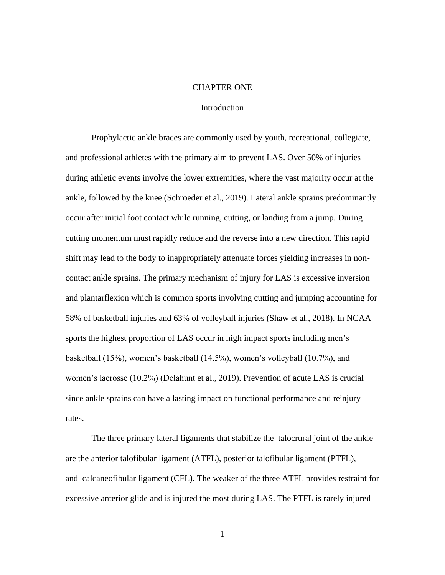### CHAPTER ONE

### Introduction

<span id="page-8-1"></span><span id="page-8-0"></span>Prophylactic ankle braces are commonly used by youth, recreational, collegiate, and professional athletes with the primary aim to prevent LAS. Over 50% of injuries during athletic events involve the lower extremities, where the vast majority occur at the ankle, followed by the knee (Schroeder et al., 2019). Lateral ankle sprains predominantly occur after initial foot contact while running, cutting, or landing from a jump. During cutting momentum must rapidly reduce and the reverse into a new direction. This rapid shift may lead to the body to inappropriately attenuate forces yielding increases in noncontact ankle sprains. The primary mechanism of injury for LAS is excessive inversion and plantarflexion which is common sports involving cutting and jumping accounting for 58% of basketball injuries and 63% of volleyball injuries (Shaw et al., 2018). In NCAA sports the highest proportion of LAS occur in high impact sports including men's basketball (15%), women's basketball (14.5%), women's volleyball (10.7%), and women's lacrosse (10.2%) (Delahunt et al., 2019). Prevention of acute LAS is crucial since ankle sprains can have a lasting impact on functional performance and reinjury rates.

The three primary lateral ligaments that stabilize the talocrural joint of the ankle are the anterior talofibular ligament (ATFL), posterior talofibular ligament (PTFL), and calcaneofibular ligament (CFL). The weaker of the three ATFL provides restraint for excessive anterior glide and is injured the most during LAS. The PTFL is rarely injured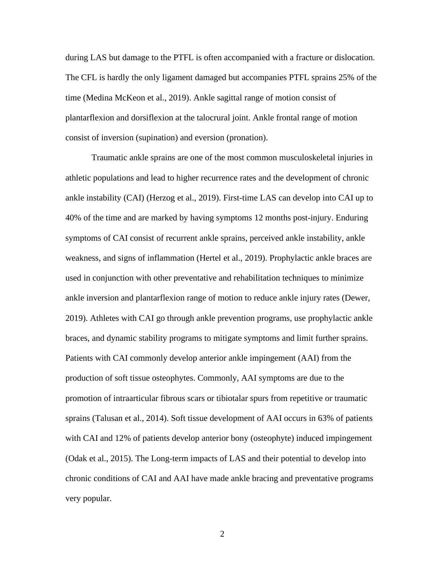during LAS but damage to the PTFL is often accompanied with a fracture or dislocation. The CFL is hardly the only ligament damaged but accompanies PTFL sprains 25% of the time (Medina McKeon et al., 2019). Ankle sagittal range of motion consist of plantarflexion and dorsiflexion at the talocrural joint. Ankle frontal range of motion consist of inversion (supination) and eversion (pronation).

Traumatic ankle sprains are one of the most common musculoskeletal injuries in athletic populations and lead to higher recurrence rates and the development of chronic ankle instability (CAI) (Herzog et al., 2019). First-time LAS can develop into CAI up to 40% of the time and are marked by having symptoms 12 months post-injury. Enduring symptoms of CAI consist of recurrent ankle sprains, perceived ankle instability, ankle weakness, and signs of inflammation (Hertel et al., 2019). Prophylactic ankle braces are used in conjunction with other preventative and rehabilitation techniques to minimize ankle inversion and plantarflexion range of motion to reduce ankle injury rates (Dewer, 2019). Athletes with CAI go through ankle prevention programs, use prophylactic ankle braces, and dynamic stability programs to mitigate symptoms and limit further sprains. Patients with CAI commonly develop anterior ankle impingement (AAI) from the production of soft tissue osteophytes. Commonly, AAI symptoms are due to the promotion of intraarticular fibrous scars or tibiotalar spurs from repetitive or traumatic sprains (Talusan et al., 2014). Soft tissue development of AAI occurs in 63% of patients with CAI and 12% of patients develop anterior bony (osteophyte) induced impingement (Odak et al., 2015). The Long-term impacts of LAS and their potential to develop into chronic conditions of CAI and AAI have made ankle bracing and preventative programs very popular.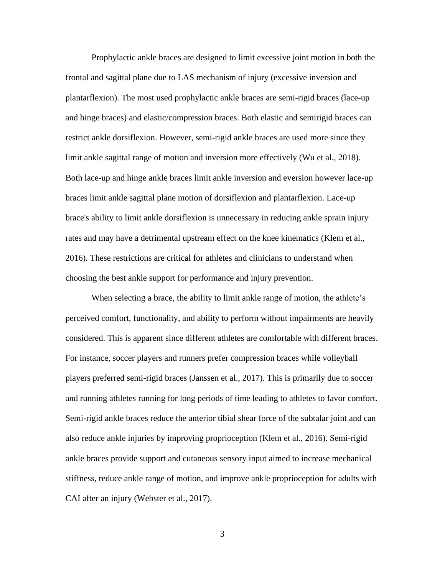Prophylactic ankle braces are designed to limit excessive joint motion in both the frontal and sagittal plane due to LAS mechanism of injury (excessive inversion and plantarflexion). The most used prophylactic ankle braces are semi-rigid braces (lace-up and hinge braces) and elastic/compression braces. Both elastic and semirigid braces can restrict ankle dorsiflexion. However, semi-rigid ankle braces are used more since they limit ankle sagittal range of motion and inversion more effectively (Wu et al., 2018). Both lace-up and hinge ankle braces limit ankle inversion and eversion however lace-up braces limit ankle sagittal plane motion of dorsiflexion and plantarflexion. Lace-up brace's ability to limit ankle dorsiflexion is unnecessary in reducing ankle sprain injury rates and may have a detrimental upstream effect on the knee kinematics (Klem et al., 2016). These restrictions are critical for athletes and clinicians to understand when choosing the best ankle support for performance and injury prevention.

When selecting a brace, the ability to limit ankle range of motion, the athlete's perceived comfort, functionality, and ability to perform without impairments are heavily considered. This is apparent since different athletes are comfortable with different braces. For instance, soccer players and runners prefer compression braces while volleyball players preferred semi-rigid braces (Janssen et al., 2017). This is primarily due to soccer and running athletes running for long periods of time leading to athletes to favor comfort. Semi-rigid ankle braces reduce the anterior tibial shear force of the subtalar joint and can also reduce ankle injuries by improving proprioception (Klem et al., 2016). Semi-rigid ankle braces provide support and cutaneous sensory input aimed to increase mechanical stiffness, reduce ankle range of motion, and improve ankle proprioception for adults with CAI after an injury (Webster et al., 2017).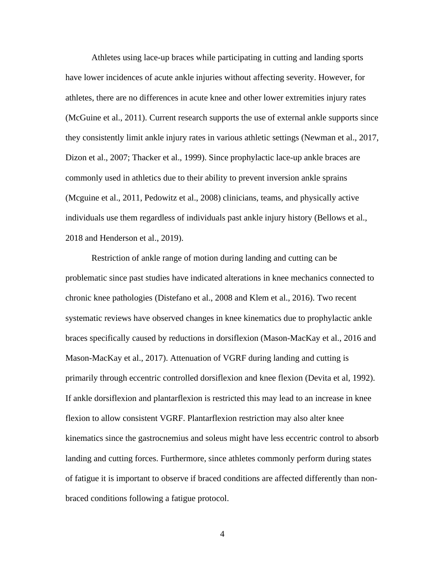Athletes using lace-up braces while participating in cutting and landing sports have lower incidences of acute ankle injuries without affecting severity. However, for athletes, there are no differences in acute knee and other lower extremities injury rates (McGuine et al., 2011). Current research supports the use of external ankle supports since they consistently limit ankle injury rates in various athletic settings (Newman et al., 2017, Dizon et al., 2007; Thacker et al., 1999). Since prophylactic lace-up ankle braces are commonly used in athletics due to their ability to prevent inversion ankle sprains (Mcguine et al., 2011, Pedowitz et al., 2008) clinicians, teams, and physically active individuals use them regardless of individuals past ankle injury history (Bellows et al., 2018 and Henderson et al., 2019).

Restriction of ankle range of motion during landing and cutting can be problematic since past studies have indicated alterations in knee mechanics connected to chronic knee pathologies (Distefano et al., 2008 and Klem et al., 2016). Two recent systematic reviews have observed changes in knee kinematics due to prophylactic ankle braces specifically caused by reductions in dorsiflexion (Mason-MacKay et al., 2016 and Mason-MacKay et al., 2017). Attenuation of VGRF during landing and cutting is primarily through eccentric controlled dorsiflexion and knee flexion (Devita et al, 1992). If ankle dorsiflexion and plantarflexion is restricted this may lead to an increase in knee flexion to allow consistent VGRF. Plantarflexion restriction may also alter knee kinematics since the gastrocnemius and soleus might have less eccentric control to absorb landing and cutting forces. Furthermore, since athletes commonly perform during states of fatigue it is important to observe if braced conditions are affected differently than nonbraced conditions following a fatigue protocol.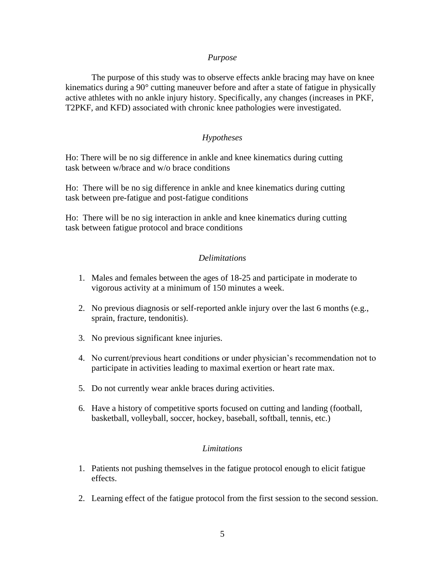### *Purpose*

<span id="page-12-0"></span>The purpose of this study was to observe effects ankle bracing may have on knee kinematics during a 90° cutting maneuver before and after a state of fatigue in physically active athletes with no ankle injury history. Specifically, any changes (increases in PKF, T2PKF, and KFD) associated with chronic knee pathologies were investigated.

## *Hypotheses*

<span id="page-12-1"></span>Ho: There will be no sig difference in ankle and knee kinematics during cutting task between w/brace and w/o brace conditions

Ho: There will be no sig difference in ankle and knee kinematics during cutting task between pre-fatigue and post-fatigue conditions

Ho: There will be no sig interaction in ankle and knee kinematics during cutting task between fatigue protocol and brace conditions

### *Delimitations*

- <span id="page-12-2"></span>1. Males and females between the ages of 18-25 and participate in moderate to vigorous activity at a minimum of 150 minutes a week.
- 2. No previous diagnosis or self-reported ankle injury over the last 6 months (e.g., sprain, fracture, tendonitis).
- 3. No previous significant knee injuries.
- 4. No current/previous heart conditions or under physician's recommendation not to participate in activities leading to maximal exertion or heart rate max.
- 5. Do not currently wear ankle braces during activities.
- 6. Have a history of competitive sports focused on cutting and landing (football, basketball, volleyball, soccer, hockey, baseball, softball, tennis, etc.)

### *Limitations*

- <span id="page-12-3"></span>1. Patients not pushing themselves in the fatigue protocol enough to elicit fatigue effects.
- 2. Learning effect of the fatigue protocol from the first session to the second session.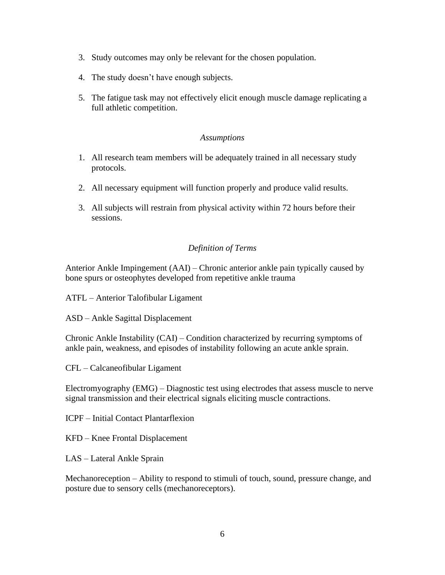- 3. Study outcomes may only be relevant for the chosen population.
- 4. The study doesn't have enough subjects.
- 5. The fatigue task may not effectively elicit enough muscle damage replicating a full athletic competition.

# *Assumptions*

- <span id="page-13-0"></span>1. All research team members will be adequately trained in all necessary study protocols.
- 2. All necessary equipment will function properly and produce valid results.
- 3. All subjects will restrain from physical activity within 72 hours before their sessions.

# *Definition of Terms*

<span id="page-13-1"></span>Anterior Ankle Impingement (AAI) – Chronic anterior ankle pain typically caused by bone spurs or osteophytes developed from repetitive ankle trauma

ATFL – Anterior Talofibular Ligament

ASD – Ankle Sagittal Displacement

Chronic Ankle Instability (CAI) – Condition characterized by recurring symptoms of ankle pain, weakness, and episodes of instability following an acute ankle sprain.

CFL – Calcaneofibular Ligament

Electromyography (EMG) – Diagnostic test using electrodes that assess muscle to nerve signal transmission and their electrical signals eliciting muscle contractions.

ICPF – Initial Contact Plantarflexion

KFD – Knee Frontal Displacement

LAS – Lateral Ankle Sprain

Mechanoreception – Ability to respond to stimuli of touch, sound, pressure change, and posture due to sensory cells (mechanoreceptors).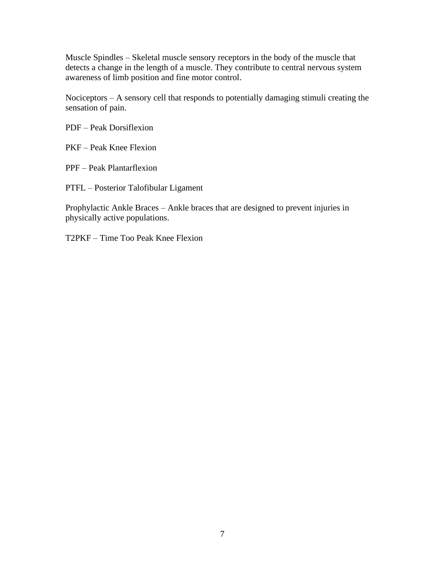Muscle Spindles – Skeletal muscle sensory receptors in the body of the muscle that detects a change in the length of a muscle. They contribute to central nervous system awareness of limb position and fine motor control.

Nociceptors – A sensory cell that responds to potentially damaging stimuli creating the sensation of pain.

PDF – Peak Dorsiflexion

PKF – Peak Knee Flexion

PPF – Peak Plantarflexion

PTFL – Posterior Talofibular Ligament

Prophylactic Ankle Braces – Ankle braces that are designed to prevent injuries in physically active populations.

T2PKF – Time Too Peak Knee Flexion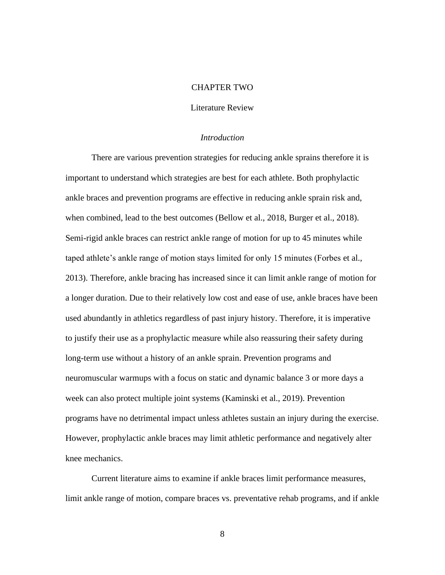### CHAPTER TWO

### Literature Review

#### *Introduction*

<span id="page-15-2"></span><span id="page-15-1"></span><span id="page-15-0"></span>There are various prevention strategies for reducing ankle sprains therefore it is important to understand which strategies are best for each athlete. Both prophylactic ankle braces and prevention programs are effective in reducing ankle sprain risk and, when combined, lead to the best outcomes (Bellow et al., 2018, Burger et al., 2018). Semi-rigid ankle braces can restrict ankle range of motion for up to 45 minutes while taped athlete's ankle range of motion stays limited for only 15 minutes (Forbes et al., 2013). Therefore, ankle bracing has increased since it can limit ankle range of motion for a longer duration. Due to their relatively low cost and ease of use, ankle braces have been used abundantly in athletics regardless of past injury history. Therefore, it is imperative to justify their use as a prophylactic measure while also reassuring their safety during long-term use without a history of an ankle sprain. Prevention programs and neuromuscular warmups with a focus on static and dynamic balance 3 or more days a week can also protect multiple joint systems (Kaminski et al., 2019). Prevention programs have no detrimental impact unless athletes sustain an injury during the exercise. However, prophylactic ankle braces may limit athletic performance and negatively alter knee mechanics.

Current literature aims to examine if ankle braces limit performance measures, limit ankle range of motion, compare braces vs. preventative rehab programs, and if ankle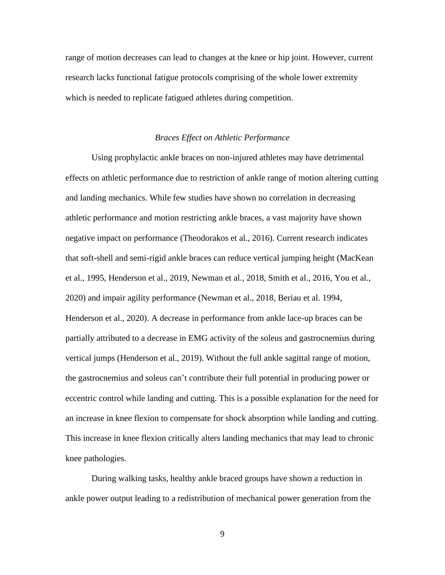range of motion decreases can lead to changes at the knee or hip joint. However, current research lacks functional fatigue protocols comprising of the whole lower extremity which is needed to replicate fatigued athletes during competition.

#### *Braces Effect on Athletic Performance*

<span id="page-16-0"></span>Using prophylactic ankle braces on non-injured athletes may have detrimental effects on athletic performance due to restriction of ankle range of motion altering cutting and landing mechanics. While few studies have shown no correlation in decreasing athletic performance and motion restricting ankle braces, a vast majority have shown negative impact on performance (Theodorakos et al., 2016). Current research indicates that soft-shell and semi-rigid ankle braces can reduce vertical jumping height (MacKean et al., 1995, Henderson et al., 2019, Newman et al., 2018, Smith et al., 2016, You et al., 2020) and impair agility performance (Newman et al., 2018, Beriau et al. 1994, Henderson et al., 2020). A decrease in performance from ankle lace-up braces can be partially attributed to a decrease in EMG activity of the soleus and gastrocnemius during vertical jumps (Henderson et al., 2019). Without the full ankle sagittal range of motion, the gastrocnemius and soleus can't contribute their full potential in producing power or eccentric control while landing and cutting. This is a possible explanation for the need for an increase in knee flexion to compensate for shock absorption while landing and cutting. This increase in knee flexion critically alters landing mechanics that may lead to chronic knee pathologies.

During walking tasks, healthy ankle braced groups have shown a reduction in ankle power output leading to a redistribution of mechanical power generation from the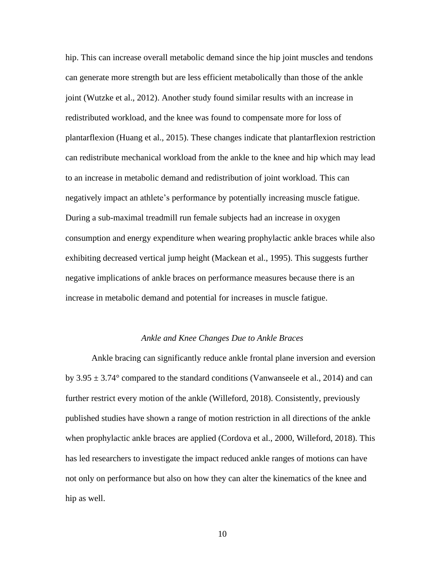hip. This can increase overall metabolic demand since the hip joint muscles and tendons can generate more strength but are less efficient metabolically than those of the ankle joint (Wutzke et al., 2012). Another study found similar results with an increase in redistributed workload, and the knee was found to compensate more for loss of plantarflexion (Huang et al., 2015). These changes indicate that plantarflexion restriction can redistribute mechanical workload from the ankle to the knee and hip which may lead to an increase in metabolic demand and redistribution of joint workload. This can negatively impact an athlete's performance by potentially increasing muscle fatigue. During a sub-maximal treadmill run female subjects had an increase in oxygen consumption and energy expenditure when wearing prophylactic ankle braces while also exhibiting decreased vertical jump height (Mackean et al., 1995). This suggests further negative implications of ankle braces on performance measures because there is an increase in metabolic demand and potential for increases in muscle fatigue.

#### *Ankle and Knee Changes Due to Ankle Braces*

<span id="page-17-0"></span>Ankle bracing can significantly reduce ankle frontal plane inversion and eversion by  $3.95 \pm 3.74^{\circ}$  compared to the standard conditions (Vanwanseele et al., 2014) and can further restrict every motion of the ankle (Willeford, 2018). Consistently, previously published studies have shown a range of motion restriction in all directions of the ankle when prophylactic ankle braces are applied (Cordova et al., 2000, Willeford, 2018). This has led researchers to investigate the impact reduced ankle ranges of motions can have not only on performance but also on how they can alter the kinematics of the knee and hip as well.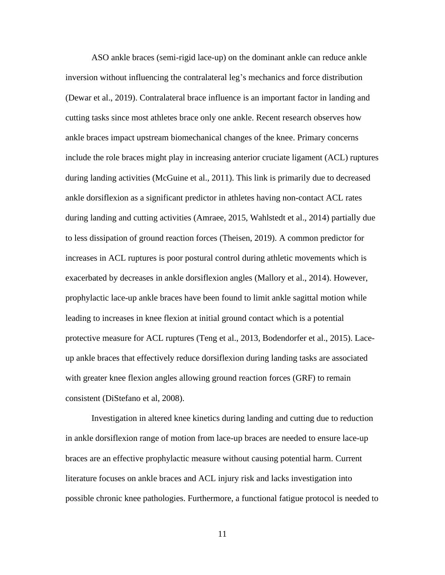ASO ankle braces (semi-rigid lace-up) on the dominant ankle can reduce ankle inversion without influencing the contralateral leg's mechanics and force distribution (Dewar et al., 2019). Contralateral brace influence is an important factor in landing and cutting tasks since most athletes brace only one ankle. Recent research observes how ankle braces impact upstream biomechanical changes of the knee. Primary concerns include the role braces might play in increasing anterior cruciate ligament (ACL) ruptures during landing activities (McGuine et al., 2011). This link is primarily due to decreased ankle dorsiflexion as a significant predictor in athletes having non-contact ACL rates during landing and cutting activities (Amraee, 2015, Wahlstedt et al., 2014) partially due to less dissipation of ground reaction forces (Theisen, 2019). A common predictor for increases in ACL ruptures is poor postural control during athletic movements which is exacerbated by decreases in ankle dorsiflexion angles (Mallory et al., 2014). However, prophylactic lace-up ankle braces have been found to limit ankle sagittal motion while leading to increases in knee flexion at initial ground contact which is a potential protective measure for ACL ruptures (Teng et al., 2013, Bodendorfer et al., 2015). Laceup ankle braces that effectively reduce dorsiflexion during landing tasks are associated with greater knee flexion angles allowing ground reaction forces (GRF) to remain consistent (DiStefano et al, 2008).

Investigation in altered knee kinetics during landing and cutting due to reduction in ankle dorsiflexion range of motion from lace-up braces are needed to ensure lace-up braces are an effective prophylactic measure without causing potential harm. Current literature focuses on ankle braces and ACL injury risk and lacks investigation into possible chronic knee pathologies. Furthermore, a functional fatigue protocol is needed to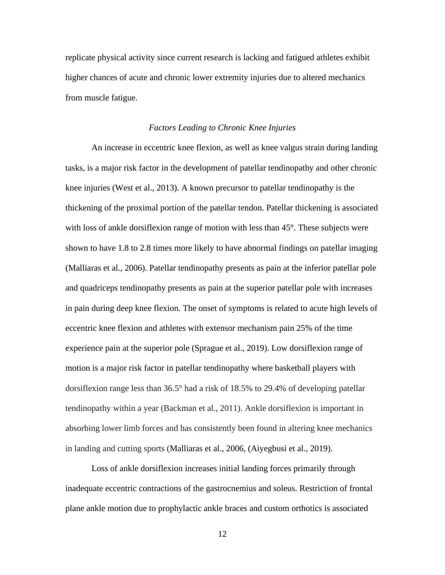replicate physical activity since current research is lacking and fatigued athletes exhibit higher chances of acute and chronic lower extremity injuries due to altered mechanics from muscle fatigue.

# *Factors Leading to Chronic Knee Injuries*

<span id="page-19-0"></span>An increase in eccentric knee flexion, as well as knee valgus strain during landing tasks, is a major risk factor in the development of patellar tendinopathy and other chronic knee injuries (West et al., 2013). A known precursor to patellar tendinopathy is the thickening of the proximal portion of the patellar tendon. Patellar thickening is associated with loss of ankle dorsiflexion range of motion with less than 45°. These subjects were shown to have 1.8 to 2.8 times more likely to have abnormal findings on patellar imaging (Malliaras et al., 2006). Patellar tendinopathy presents as pain at the inferior patellar pole and quadriceps tendinopathy presents as pain at the superior patellar pole with increases in pain during deep knee flexion. The onset of symptoms is related to acute high levels of eccentric knee flexion and athletes with extensor mechanism pain 25% of the time experience pain at the superior pole (Sprague et al., 2019). Low dorsiflexion range of motion is a major risk factor in patellar tendinopathy where basketball players with dorsiflexion range less than 36.5° had a risk of 18.5% to 29.4% of developing patellar tendinopathy within a year (Backman et al., 2011). Ankle dorsiflexion is important in absorbing lower limb forces and has consistently been found in altering knee mechanics in landing and cutting sports (Malliaras et al., 2006, (Aiyegbusi et al., 2019).

Loss of ankle dorsiflexion increases initial landing forces primarily through inadequate eccentric contractions of the gastrocnemius and soleus. Restriction of frontal plane ankle motion due to prophylactic ankle braces and custom orthotics is associated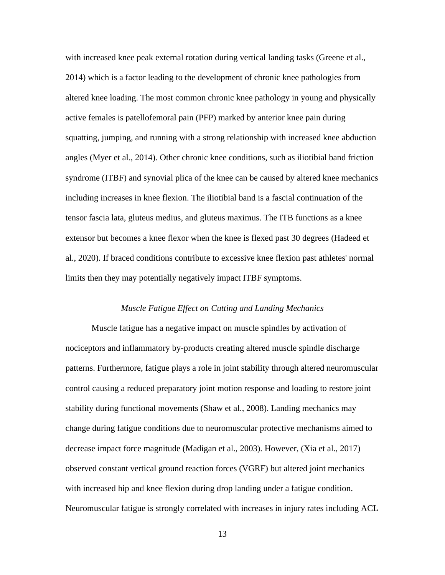with increased knee peak external rotation during vertical landing tasks (Greene et al., 2014) which is a factor leading to the development of chronic knee pathologies from altered knee loading. The most common chronic knee pathology in young and physically active females is patellofemoral pain (PFP) marked by anterior knee pain during squatting, jumping, and running with a strong relationship with increased knee abduction angles (Myer et al., 2014). Other chronic knee conditions, such as iliotibial band friction syndrome (ITBF) and synovial plica of the knee can be caused by altered knee mechanics including increases in knee flexion. The iliotibial band is a fascial continuation of the tensor fascia lata, gluteus medius, and gluteus maximus. The ITB functions as a knee extensor but becomes a knee flexor when the knee is flexed past 30 degrees (Hadeed et al., 2020). If braced conditions contribute to excessive knee flexion past athletes' normal limits then they may potentially negatively impact ITBF symptoms.

### *Muscle Fatigue Effect on Cutting and Landing Mechanics*

<span id="page-20-0"></span>Muscle fatigue has a negative impact on muscle spindles by activation of nociceptors and inflammatory by-products creating altered muscle spindle discharge patterns. Furthermore, fatigue plays a role in joint stability through altered neuromuscular control causing a reduced preparatory joint motion response and loading to restore joint stability during functional movements (Shaw et al., 2008). Landing mechanics may change during fatigue conditions due to neuromuscular protective mechanisms aimed to decrease impact force magnitude (Madigan et al., 2003). However, (Xia et al., 2017) observed constant vertical ground reaction forces (VGRF) but altered joint mechanics with increased hip and knee flexion during drop landing under a fatigue condition. Neuromuscular fatigue is strongly correlated with increases in injury rates including ACL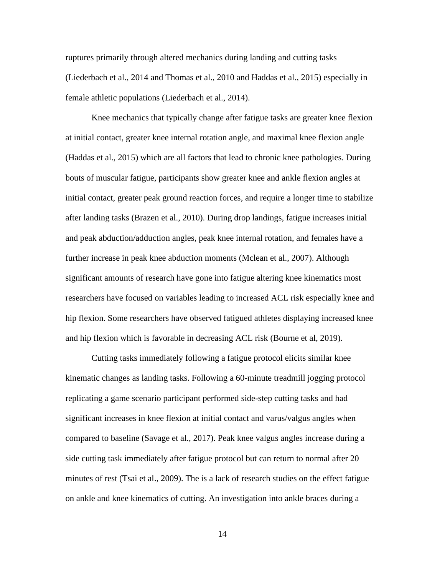ruptures primarily through altered mechanics during landing and cutting tasks (Liederbach et al., 2014 and Thomas et al., 2010 and Haddas et al., 2015) especially in female athletic populations (Liederbach et al., 2014).

Knee mechanics that typically change after fatigue tasks are greater knee flexion at initial contact, greater knee internal rotation angle, and maximal knee flexion angle (Haddas et al., 2015) which are all factors that lead to chronic knee pathologies. During bouts of muscular fatigue, participants show greater knee and ankle flexion angles at initial contact, greater peak ground reaction forces, and require a longer time to stabilize after landing tasks (Brazen et al., 2010). During drop landings, fatigue increases initial and peak abduction/adduction angles, peak knee internal rotation, and females have a further increase in peak knee abduction moments (Mclean et al., 2007). Although significant amounts of research have gone into fatigue altering knee kinematics most researchers have focused on variables leading to increased ACL risk especially knee and hip flexion. Some researchers have observed fatigued athletes displaying increased knee and hip flexion which is favorable in decreasing ACL risk (Bourne et al, 2019).

Cutting tasks immediately following a fatigue protocol elicits similar knee kinematic changes as landing tasks. Following a 60-minute treadmill jogging protocol replicating a game scenario participant performed side-step cutting tasks and had significant increases in knee flexion at initial contact and varus/valgus angles when compared to baseline (Savage et al., 2017). Peak knee valgus angles increase during a side cutting task immediately after fatigue protocol but can return to normal after 20 minutes of rest (Tsai et al., 2009). The is a lack of research studies on the effect fatigue on ankle and knee kinematics of cutting. An investigation into ankle braces during a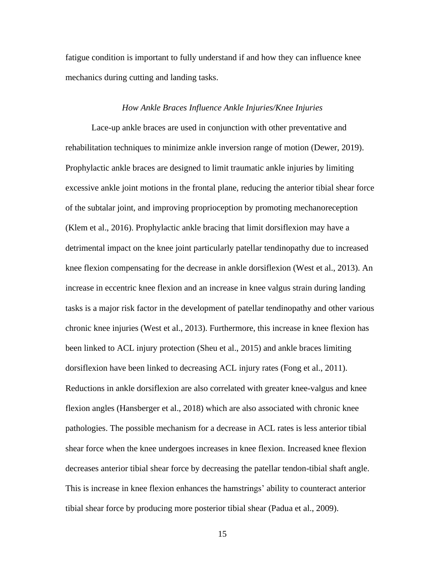fatigue condition is important to fully understand if and how they can influence knee mechanics during cutting and landing tasks.

### *How Ankle Braces Influence Ankle Injuries/Knee Injuries*

<span id="page-22-0"></span>Lace-up ankle braces are used in conjunction with other preventative and rehabilitation techniques to minimize ankle inversion range of motion (Dewer, 2019). Prophylactic ankle braces are designed to limit traumatic ankle injuries by limiting excessive ankle joint motions in the frontal plane, reducing the anterior tibial shear force of the subtalar joint, and improving proprioception by promoting mechanoreception (Klem et al., 2016). Prophylactic ankle bracing that limit dorsiflexion may have a detrimental impact on the knee joint particularly patellar tendinopathy due to increased knee flexion compensating for the decrease in ankle dorsiflexion (West et al., 2013). An increase in eccentric knee flexion and an increase in knee valgus strain during landing tasks is a major risk factor in the development of patellar tendinopathy and other various chronic knee injuries (West et al., 2013). Furthermore, this increase in knee flexion has been linked to ACL injury protection (Sheu et al., 2015) and ankle braces limiting dorsiflexion have been linked to decreasing ACL injury rates (Fong et al., 2011). Reductions in ankle dorsiflexion are also correlated with greater knee-valgus and knee flexion angles (Hansberger et al., 2018) which are also associated with chronic knee pathologies. The possible mechanism for a decrease in ACL rates is less anterior tibial shear force when the knee undergoes increases in knee flexion. Increased knee flexion decreases anterior tibial shear force by decreasing the patellar tendon-tibial shaft angle. This is increase in knee flexion enhances the hamstrings' ability to counteract anterior tibial shear force by producing more posterior tibial shear (Padua et al., 2009).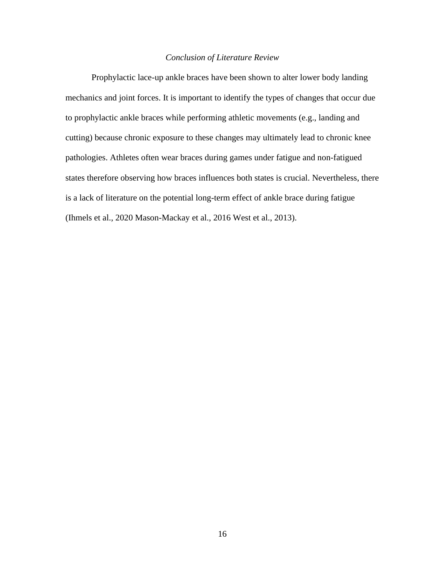### *Conclusion of Literature Review*

<span id="page-23-0"></span>Prophylactic lace-up ankle braces have been shown to alter lower body landing mechanics and joint forces. It is important to identify the types of changes that occur due to prophylactic ankle braces while performing athletic movements (e.g., landing and cutting) because chronic exposure to these changes may ultimately lead to chronic knee pathologies. Athletes often wear braces during games under fatigue and non-fatigued states therefore observing how braces influences both states is crucial. Nevertheless, there is a lack of literature on the potential long-term effect of ankle brace during fatigue (Ihmels et al., 2020 Mason-Mackay et al., 2016 West et al., 2013).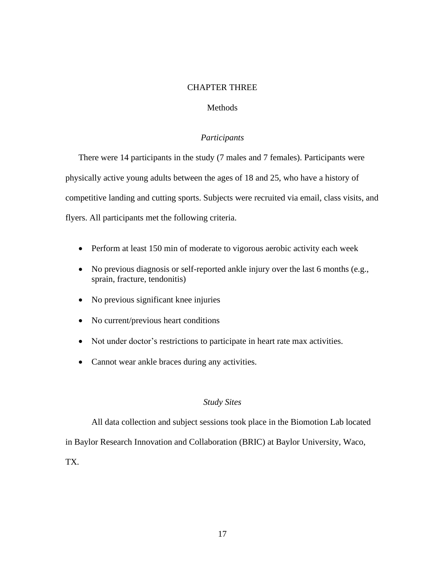# CHAPTER THREE

# Methods

# *Participants*

<span id="page-24-2"></span><span id="page-24-1"></span><span id="page-24-0"></span>There were 14 participants in the study (7 males and 7 females). Participants were physically active young adults between the ages of 18 and 25, who have a history of competitive landing and cutting sports. Subjects were recruited via email, class visits, and flyers. All participants met the following criteria.

- Perform at least 150 min of moderate to vigorous aerobic activity each week
- No previous diagnosis or self-reported ankle injury over the last 6 months (e.g., sprain, fracture, tendonitis)
- No previous significant knee injuries
- No current/previous heart conditions
- Not under doctor's restrictions to participate in heart rate max activities.
- Cannot wear ankle braces during any activities.

### *Study Sites*

<span id="page-24-3"></span>All data collection and subject sessions took place in the Biomotion Lab located

in Baylor Research Innovation and Collaboration (BRIC) at Baylor University, Waco,

TX.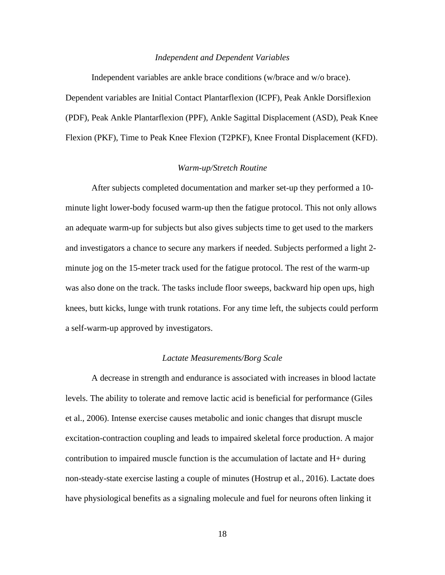#### *Independent and Dependent Variables*

<span id="page-25-0"></span>Independent variables are ankle brace conditions (w/brace and w/o brace). Dependent variables are Initial Contact Plantarflexion (ICPF), Peak Ankle Dorsiflexion (PDF), Peak Ankle Plantarflexion (PPF), Ankle Sagittal Displacement (ASD), Peak Knee Flexion (PKF), Time to Peak Knee Flexion (T2PKF), Knee Frontal Displacement (KFD).

### *Warm-up/Stretch Routine*

<span id="page-25-1"></span>After subjects completed documentation and marker set-up they performed a 10 minute light lower-body focused warm-up then the fatigue protocol. This not only allows an adequate warm-up for subjects but also gives subjects time to get used to the markers and investigators a chance to secure any markers if needed. Subjects performed a light 2 minute jog on the 15-meter track used for the fatigue protocol. The rest of the warm-up was also done on the track. The tasks include floor sweeps, backward hip open ups, high knees, butt kicks, lunge with trunk rotations. For any time left, the subjects could perform a self-warm-up approved by investigators.

#### *Lactate Measurements/Borg Scale*

<span id="page-25-2"></span>A decrease in strength and endurance is associated with increases in blood lactate levels. The ability to tolerate and remove lactic acid is beneficial for performance (Giles et al., 2006). Intense exercise causes metabolic and ionic changes that disrupt muscle excitation-contraction coupling and leads to impaired skeletal force production. A major contribution to impaired muscle function is the accumulation of lactate and H+ during non-steady-state exercise lasting a couple of minutes (Hostrup et al., 2016). Lactate does have physiological benefits as a signaling molecule and fuel for neurons often linking it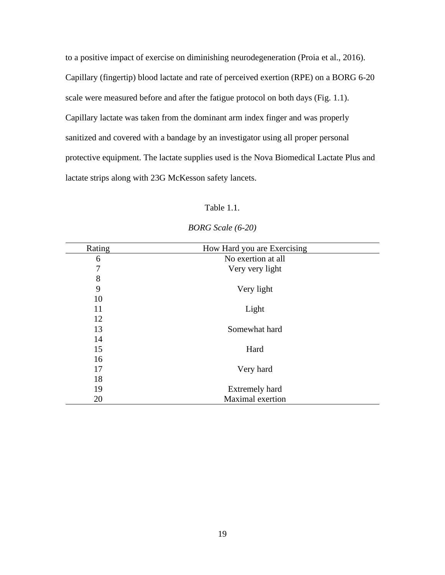to a positive impact of exercise on diminishing neurodegeneration (Proia et al., 2016). Capillary (fingertip) blood lactate and rate of perceived exertion (RPE) on a BORG 6-20 scale were measured before and after the fatigue protocol on both days (Fig. 1.1). Capillary lactate was taken from the dominant arm index finger and was properly sanitized and covered with a bandage by an investigator using all proper personal protective equipment. The lactate supplies used is the Nova Biomedical Lactate Plus and lactate strips along with 23G McKesson safety lancets.

# Table 1.1.

| Rating | How Hard you are Exercising |
|--------|-----------------------------|
| 6      | No exertion at all          |
| 7      | Very very light             |
| 8      |                             |
| 9      | Very light                  |
| 10     |                             |
| 11     | Light                       |
| 12     |                             |
| 13     | Somewhat hard               |
| 14     |                             |
| 15     | Hard                        |
| 16     |                             |
| 17     | Very hard                   |
| 18     |                             |
| 19     | <b>Extremely hard</b>       |
| 20     | Maximal exertion            |
|        |                             |

# *BORG Scale (6-20)*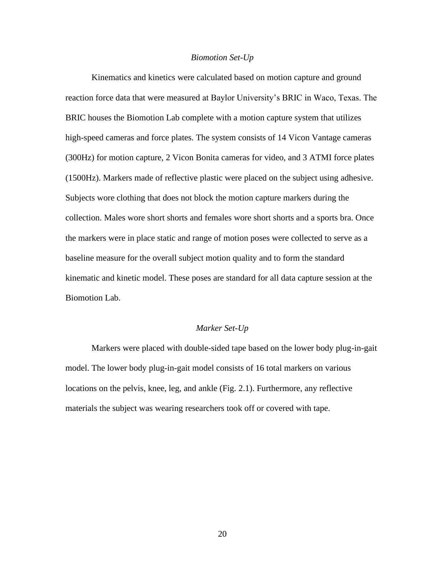#### *Biomotion Set-Up*

<span id="page-27-0"></span>Kinematics and kinetics were calculated based on motion capture and ground reaction force data that were measured at Baylor University's BRIC in Waco, Texas. The BRIC houses the Biomotion Lab complete with a motion capture system that utilizes high-speed cameras and force plates. The system consists of 14 Vicon Vantage cameras (300Hz) for motion capture, 2 Vicon Bonita cameras for video, and 3 ATMI force plates (1500Hz). Markers made of reflective plastic were placed on the subject using adhesive. Subjects wore clothing that does not block the motion capture markers during the collection. Males wore short shorts and females wore short shorts and a sports bra. Once the markers were in place static and range of motion poses were collected to serve as a baseline measure for the overall subject motion quality and to form the standard kinematic and kinetic model. These poses are standard for all data capture session at the Biomotion Lab.

### *Marker Set-Up*

<span id="page-27-1"></span>Markers were placed with double-sided tape based on the lower body plug-in-gait model. The lower body plug-in-gait model consists of 16 total markers on various locations on the pelvis, knee, leg, and ankle (Fig. 2.1). Furthermore, any reflective materials the subject was wearing researchers took off or covered with tape.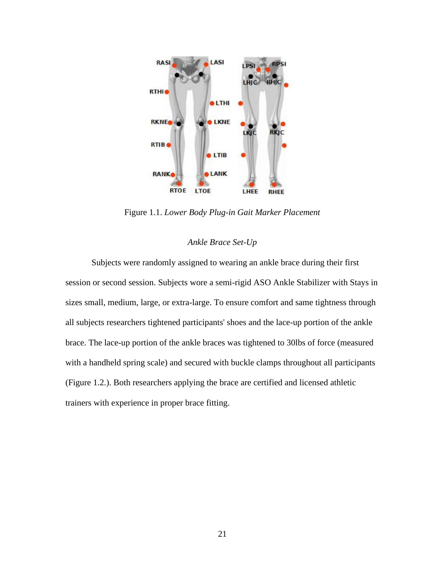

Figure 1.1. *Lower Body Plug-in Gait Marker Placement*

### *Ankle Brace Set-Up*

<span id="page-28-0"></span>Subjects were randomly assigned to wearing an ankle brace during their first session or second session. Subjects wore a semi-rigid ASO Ankle Stabilizer with Stays in sizes small, medium, large, or extra-large. To ensure comfort and same tightness through all subjects researchers tightened participants' shoes and the lace-up portion of the ankle brace. The lace-up portion of the ankle braces was tightened to 30lbs of force (measured with a handheld spring scale) and secured with buckle clamps throughout all participants (Figure 1.2.). Both researchers applying the brace are certified and licensed athletic trainers with experience in proper brace fitting.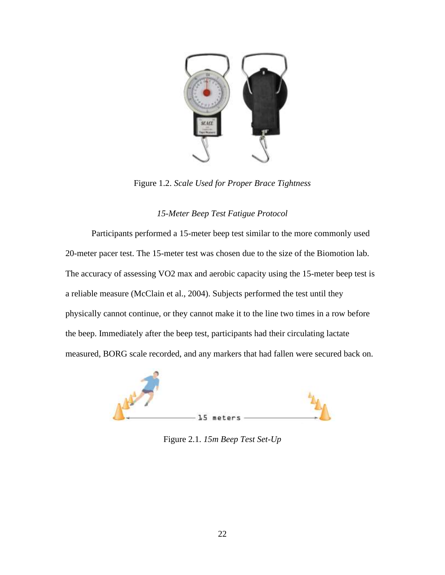

Figure 1.2. *Scale Used for Proper Brace Tightness*

# *15-Meter Beep Test Fatigue Protocol*

<span id="page-29-0"></span>Participants performed a 15-meter beep test similar to the more commonly used 20-meter pacer test. The 15-meter test was chosen due to the size of the Biomotion lab. The accuracy of assessing VO2 max and aerobic capacity using the 15-meter beep test is a reliable measure (McClain et al., 2004). Subjects performed the test until they physically cannot continue, or they cannot make it to the line two times in a row before the beep. Immediately after the beep test, participants had their circulating lactate measured, BORG scale recorded, and any markers that had fallen were secured back on.



Figure 2.1. *15m Beep Test Set-Up*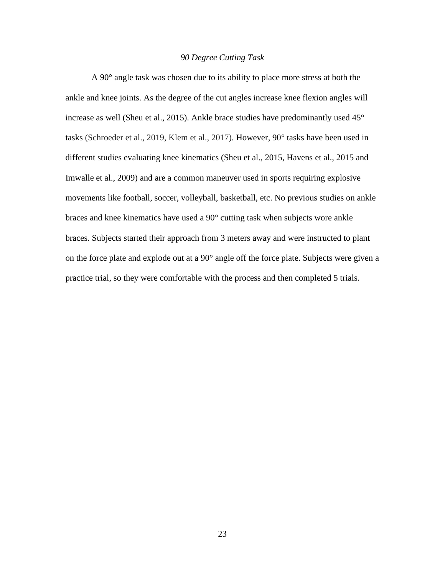### *90 Degree Cutting Task*

<span id="page-30-0"></span>A 90° angle task was chosen due to its ability to place more stress at both the ankle and knee joints. As the degree of the cut angles increase knee flexion angles will increase as well (Sheu et al., 2015). Ankle brace studies have predominantly used 45° tasks (Schroeder et al., 2019, Klem et al., 2017). However, 90° tasks have been used in different studies evaluating knee kinematics (Sheu et al., 2015, Havens et al., 2015 and Imwalle et al., 2009) and are a common maneuver used in sports requiring explosive movements like football, soccer, volleyball, basketball, etc. No previous studies on ankle braces and knee kinematics have used a 90° cutting task when subjects wore ankle braces. Subjects started their approach from 3 meters away and were instructed to plant on the force plate and explode out at a 90° angle off the force plate. Subjects were given a practice trial, so they were comfortable with the process and then completed 5 trials.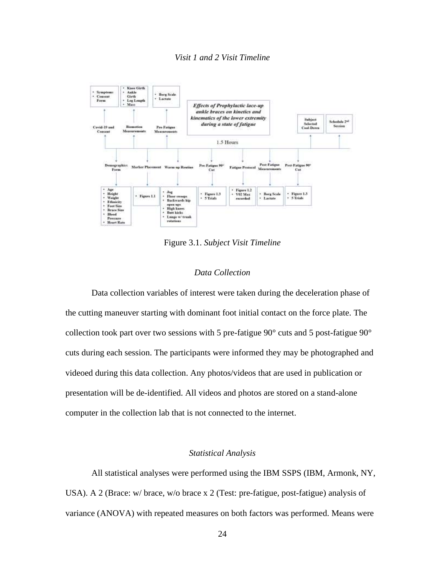<span id="page-31-0"></span>

Figure 3.1. *Subject Visit Timeline*

# *Data Collection*

<span id="page-31-1"></span>Data collection variables of interest were taken during the deceleration phase of the cutting maneuver starting with dominant foot initial contact on the force plate. The collection took part over two sessions with 5 pre-fatigue  $90^{\circ}$  cuts and 5 post-fatigue  $90^{\circ}$ cuts during each session. The participants were informed they may be photographed and videoed during this data collection. Any photos/videos that are used in publication or presentation will be de-identified. All videos and photos are stored on a stand-alone computer in the collection lab that is not connected to the internet.

# *Statistical Analysis*

<span id="page-31-2"></span>All statistical analyses were performed using the IBM SSPS (IBM, Armonk, NY, USA). A 2 (Brace: w/ brace, w/o brace x 2 (Test: pre-fatigue, post-fatigue) analysis of variance (ANOVA) with repeated measures on both factors was performed. Means were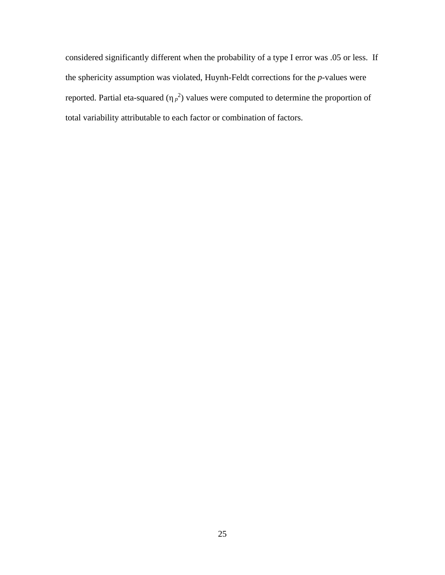considered significantly different when the probability of a type I error was .05 or less. If the sphericity assumption was violated, Huynh-Feldt corrections for the *p*-values were reported. Partial eta-squared  $(\eta_p^2)$  values were computed to determine the proportion of total variability attributable to each factor or combination of factors.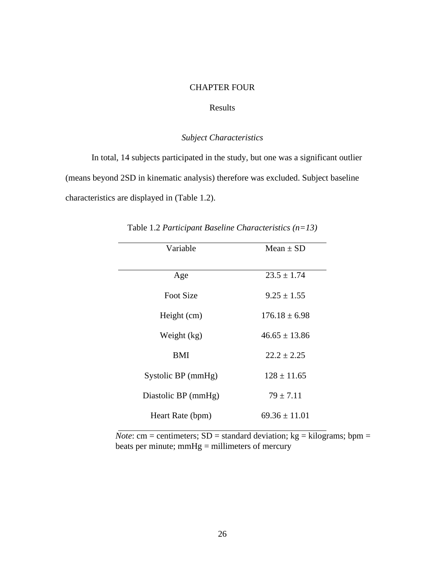# CHAPTER FOUR

# Results

# *Subject Characteristics*

<span id="page-33-2"></span><span id="page-33-1"></span><span id="page-33-0"></span>In total, 14 subjects participated in the study, but one was a significant outlier (means beyond 2SD in kinematic analysis) therefore was excluded. Subject baseline characteristics are displayed in (Table 1.2).

| Variable            | Mean $\pm$ SD     |
|---------------------|-------------------|
| Age                 | $23.5 \pm 1.74$   |
| <b>Foot Size</b>    | $9.25 \pm 1.55$   |
| Height (cm)         | $176.18 \pm 6.98$ |
| Weight (kg)         | $46.65 \pm 13.86$ |
| <b>BMI</b>          | $22.2 \pm 2.25$   |
| Systolic BP (mmHg)  | $128 \pm 11.65$   |
| Diastolic BP (mmHg) | $79 \pm 7.11$     |
| Heart Rate (bpm)    | $69.36 \pm 11.01$ |

Table 1.2 *Participant Baseline Characteristics (n=13)*

*Note*: cm = centimeters;  $SD =$  standard deviation;  $kg =$  kilograms; bpm = beats per minute;  $mmHg = millimeters$  of mercury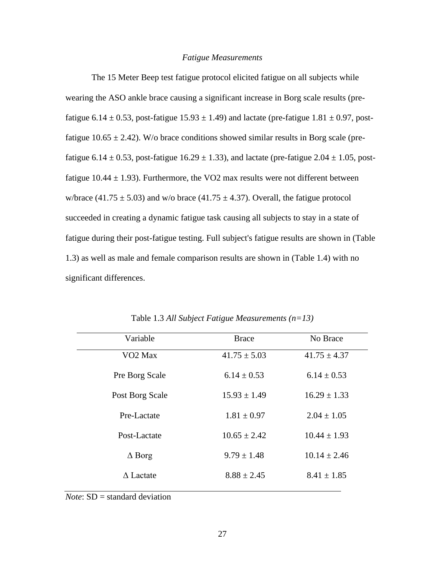### *Fatigue Measurements*

<span id="page-34-0"></span>The 15 Meter Beep test fatigue protocol elicited fatigue on all subjects while wearing the ASO ankle brace causing a significant increase in Borg scale results (prefatigue 6.14  $\pm$  0.53, post-fatigue 15.93  $\pm$  1.49) and lactate (pre-fatigue 1.81  $\pm$  0.97, postfatigue 10.65  $\pm$  2.42). W/o brace conditions showed similar results in Borg scale (prefatigue 6.14  $\pm$  0.53, post-fatigue 16.29  $\pm$  1.33), and lactate (pre-fatigue 2.04  $\pm$  1.05, postfatigue 10.44  $\pm$  1.93). Furthermore, the VO2 max results were not different between w/brace (41.75  $\pm$  5.03) and w/o brace (41.75  $\pm$  4.37). Overall, the fatigue protocol succeeded in creating a dynamic fatigue task causing all subjects to stay in a state of fatigue during their post-fatigue testing. Full subject's fatigue results are shown in (Table 1.3) as well as male and female comparison results are shown in (Table 1.4) with no significant differences.

| Variable            | <b>Brace</b>     | No Brace         |
|---------------------|------------------|------------------|
| VO <sub>2</sub> Max | $41.75 \pm 5.03$ | $41.75 \pm 4.37$ |
| Pre Borg Scale      | $6.14 \pm 0.53$  | $6.14 \pm 0.53$  |
| Post Borg Scale     | $15.93 \pm 1.49$ | $16.29 \pm 1.33$ |
| Pre-Lactate         | $1.81 \pm 0.97$  | $2.04 \pm 1.05$  |
| Post-Lactate        | $10.65 \pm 2.42$ | $10.44 \pm 1.93$ |
| $\Delta$ Borg       | $9.79 \pm 1.48$  | $10.14 \pm 2.46$ |
| A Lactate           | $8.88 \pm 2.45$  | $8.41 \pm 1.85$  |

Table 1.3 *All Subject Fatigue Measurements (n=13)*

*Note*: SD = standard deviation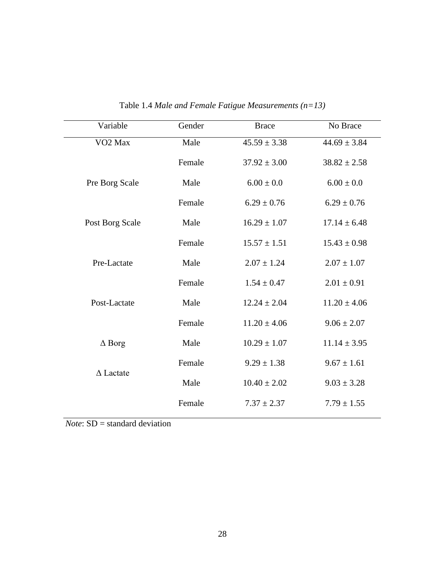| Variable            | Gender | <b>Brace</b>     | No Brace         |
|---------------------|--------|------------------|------------------|
| VO <sub>2</sub> Max | Male   | $45.59 \pm 3.38$ | $44.69 \pm 3.84$ |
|                     | Female | $37.92 \pm 3.00$ | $38.82 \pm 2.58$ |
| Pre Borg Scale      | Male   | $6.00 \pm 0.0$   | $6.00 \pm 0.0$   |
|                     | Female | $6.29 \pm 0.76$  | $6.29 \pm 0.76$  |
| Post Borg Scale     | Male   | $16.29 \pm 1.07$ | $17.14 \pm 6.48$ |
|                     | Female | $15.57 \pm 1.51$ | $15.43 \pm 0.98$ |
| Pre-Lactate         | Male   | $2.07 \pm 1.24$  | $2.07 \pm 1.07$  |
|                     | Female | $1.54 \pm 0.47$  | $2.01 \pm 0.91$  |
| Post-Lactate        | Male   | $12.24 \pm 2.04$ | $11.20 \pm 4.06$ |
|                     | Female | $11.20 \pm 4.06$ | $9.06 \pm 2.07$  |
| $\Delta$ Borg       | Male   | $10.29 \pm 1.07$ | $11.14 \pm 3.95$ |
| $\Delta$ Lactate    | Female | $9.29 \pm 1.38$  | $9.67 \pm 1.61$  |
|                     | Male   | $10.40 \pm 2.02$ | $9.03 \pm 3.28$  |
|                     | Female | $7.37 \pm 2.37$  | $7.79 \pm 1.55$  |

Table 1.4 *Male and Female Fatigue Measurements (n=13)*

*Note*: SD = standard deviation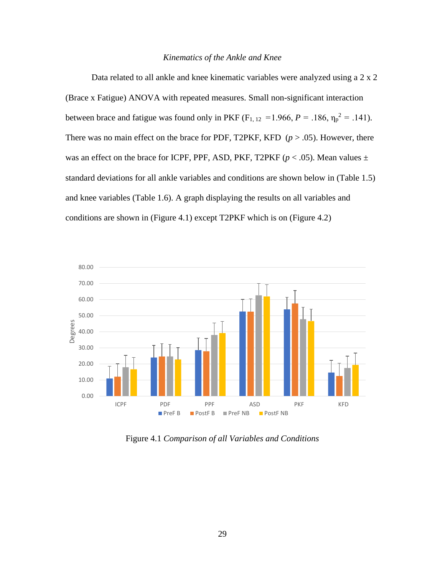### *Kinematics of the Ankle and Knee*

<span id="page-36-0"></span>Data related to all ankle and knee kinematic variables were analyzed using a 2 x 2 (Brace x Fatigue) ANOVA with repeated measures. Small non-significant interaction between brace and fatigue was found only in PKF ( $F_{1, 12} = 1.966$ ,  $P = .186$ ,  $\eta_p^2 = .141$ ). There was no main effect on the brace for PDF, T2PKF, KFD  $(p > .05)$ . However, there was an effect on the brace for ICPF, PPF, ASD, PKF, T2PKF ( $p < .05$ ). Mean values  $\pm$ standard deviations for all ankle variables and conditions are shown below in (Table 1.5) and knee variables (Table 1.6). A graph displaying the results on all variables and conditions are shown in (Figure 4.1) except T2PKF which is on (Figure 4.2)



Figure 4.1 *Comparison of all Variables and Conditions*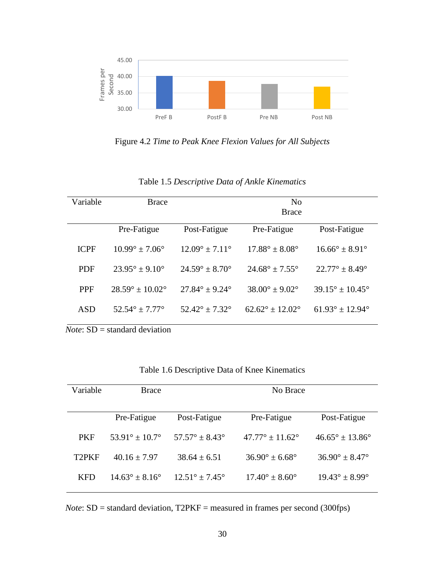

Figure 4.2 *Time to Peak Knee Flexion Values for All Subjects*

| Variable    | <b>Brace</b>                      |                                  | N <sub>0</sub><br><b>Brace</b>   |                                   |
|-------------|-----------------------------------|----------------------------------|----------------------------------|-----------------------------------|
|             | Pre-Fatigue                       | Post-Fatigue                     | Pre-Fatigue                      | Post-Fatigue                      |
| <b>ICPF</b> | $10.99^{\circ} \pm 7.06^{\circ}$  | $12.09^{\circ} \pm 7.11^{\circ}$ | $17.88^{\circ} \pm 8.08^{\circ}$ | $16.66^{\circ} \pm 8.91^{\circ}$  |
| <b>PDF</b>  | $23.95^{\circ} \pm 9.10^{\circ}$  | $24.59^{\circ} \pm 8.70^{\circ}$ | $24.68^{\circ} \pm 7.55^{\circ}$ | $22.77^{\circ} \pm 8.49^{\circ}$  |
| <b>PPF</b>  | $28.59^{\circ} \pm 10.02^{\circ}$ | $27.84^{\circ} \pm 9.24^{\circ}$ | $38.00^{\circ} \pm 9.02^{\circ}$ | $39.15^{\circ} \pm 10.45^{\circ}$ |
| ASD         | $52.54^{\circ} \pm 7.77^{\circ}$  | $52.42^{\circ} + 7.32^{\circ}$   | $62.62^{\circ} + 12.02^{\circ}$  | $61.93^{\circ} \pm 12.94^{\circ}$ |

Table 1.5 *Descriptive Data of Ankle Kinematics*

*Note*: SD = standard deviation

| Variable           | <b>Brace</b>                     | No Brace                         |                                  |                                   |
|--------------------|----------------------------------|----------------------------------|----------------------------------|-----------------------------------|
|                    |                                  |                                  |                                  |                                   |
|                    | Pre-Fatigue                      | Post-Fatigue                     | Pre-Fatigue                      | Post-Fatigue                      |
| <b>PKF</b>         | $53.91^{\circ} \pm 10.7^{\circ}$ | $57.57^{\circ} + 8.43^{\circ}$   | $47.77^{\circ} + 11.62^{\circ}$  | $46.65^{\circ} \pm 13.86^{\circ}$ |
| T <sub>2</sub> PKF | $40.16 + 7.97$                   | $38.64 + 6.51$                   | $36.90^{\circ} \pm 6.68^{\circ}$ | $36.90^{\circ} + 8.47^{\circ}$    |
| <b>KFD</b>         | $14.63^{\circ} \pm 8.16^{\circ}$ | $12.51^{\circ} \pm 7.45^{\circ}$ | $17.40^{\circ} \pm 8.60^{\circ}$ | $19.43^{\circ} \pm 8.99^{\circ}$  |

*Note*: SD = standard deviation, T2PKF = measured in frames per second (300fps)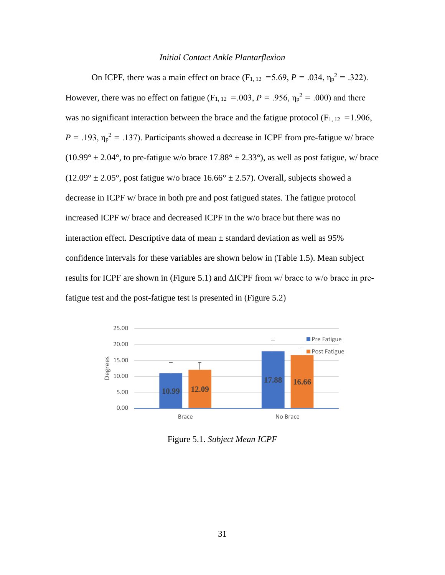### *Initial Contact Ankle Plantarflexion*

<span id="page-38-0"></span>On ICPF, there was a main effect on brace ( $F_{1, 12} = 5.69$ ,  $P = .034$ ,  $\eta_p^2 = .322$ ). However, there was no effect on fatigue ( $F_{1, 12} = 0.003$ ,  $P = 0.956$ ,  $\eta_p^2 = 0.000$ ) and there was no significant interaction between the brace and the fatigue protocol ( $F_{1, 12} = 1.906$ ,  $P = .193$ ,  $\eta_p^2 = .137$ ). Participants showed a decrease in ICPF from pre-fatigue w/ brace  $(10.99^{\circ} \pm 2.04^{\circ})$ , to pre-fatigue w/o brace  $17.88^{\circ} \pm 2.33^{\circ}$ ), as well as post fatigue, w/ brace  $(12.09^{\circ} \pm 2.05^{\circ})$ , post fatigue w/o brace  $16.66^{\circ} \pm 2.57$ ). Overall, subjects showed a decrease in ICPF w/ brace in both pre and post fatigued states. The fatigue protocol increased ICPF w/ brace and decreased ICPF in the w/o brace but there was no interaction effect. Descriptive data of mean  $\pm$  standard deviation as well as 95% confidence intervals for these variables are shown below in (Table 1.5). Mean subject results for ICPF are shown in (Figure 5.1) and ΔICPF from w/ brace to w/o brace in prefatigue test and the post-fatigue test is presented in (Figure 5.2)



Figure 5.1. *Subject Mean ICPF*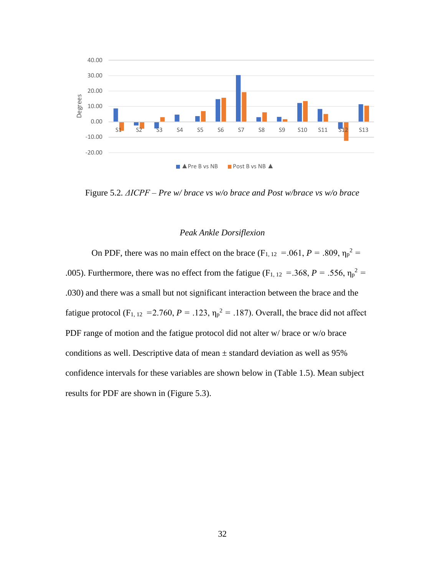

Figure 5.2*. ΔICPF – Pre w/ brace vs w/o brace and Post w/brace vs w/o brace*

# *Peak Ankle Dorsiflexion*

<span id="page-39-0"></span>On PDF, there was no main effect on the brace  $(F_{1, 12} = .061, P = .809, \eta_p^2 =$ .005). Furthermore, there was no effect from the fatigue ( $F_{1, 12} = 368$ ,  $P = 0.556$ ,  $\eta_p^2 =$ .030) and there was a small but not significant interaction between the brace and the fatigue protocol (F<sub>1, 12</sub> = 2.760,  $P = .123$ ,  $\eta_p^2 = .187$ ). Overall, the brace did not affect PDF range of motion and the fatigue protocol did not alter w/ brace or w/o brace conditions as well. Descriptive data of mean  $\pm$  standard deviation as well as 95% confidence intervals for these variables are shown below in (Table 1.5). Mean subject results for PDF are shown in (Figure 5.3).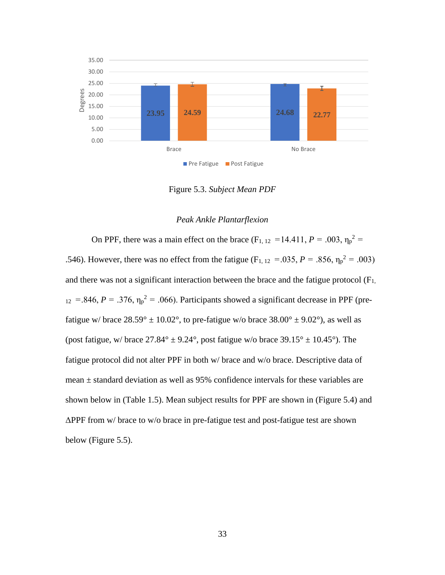

Figure 5.3. *Subject Mean PDF*

# *Peak Ankle Plantarflexion*

<span id="page-40-0"></span>On PPF, there was a main effect on the brace  $(F_{1, 12} = 14.411, P = .003, \eta_p^2 =$ .546). However, there was no effect from the fatigue ( $F_{1, 12} = 0.035$ ,  $P = 0.856$ ,  $\eta_p^2 = 0.003$ ) and there was not a significant interaction between the brace and the fatigue protocol  $(F_{1,})$  $_{12}$  = .846, *P* = .376,  $\eta_p^2$  = .066). Participants showed a significant decrease in PPF (prefatigue w/ brace  $28.59^{\circ} \pm 10.02^{\circ}$ , to pre-fatigue w/o brace  $38.00^{\circ} \pm 9.02^{\circ}$ ), as well as (post fatigue, w/ brace  $27.84^{\circ} \pm 9.24^{\circ}$ , post fatigue w/o brace  $39.15^{\circ} \pm 10.45^{\circ}$ ). The fatigue protocol did not alter PPF in both w/ brace and w/o brace. Descriptive data of mean ± standard deviation as well as 95% confidence intervals for these variables are shown below in (Table 1.5). Mean subject results for PPF are shown in (Figure 5.4) and ΔPPF from w/ brace to w/o brace in pre-fatigue test and post-fatigue test are shown below (Figure 5.5).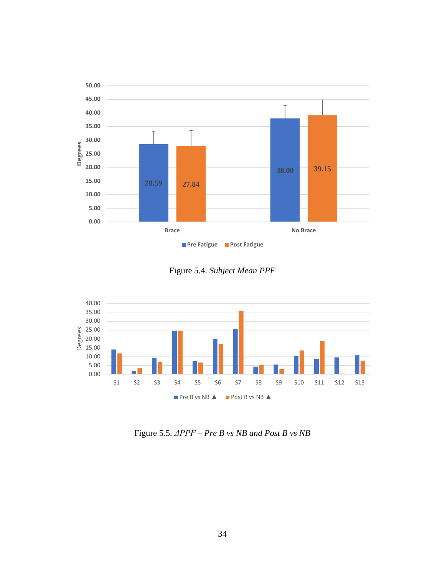

Figure 5.4. *Subject Mean PPF*



Figure 5.5. *ΔPPF – Pre B vs NB and Post B vs NB*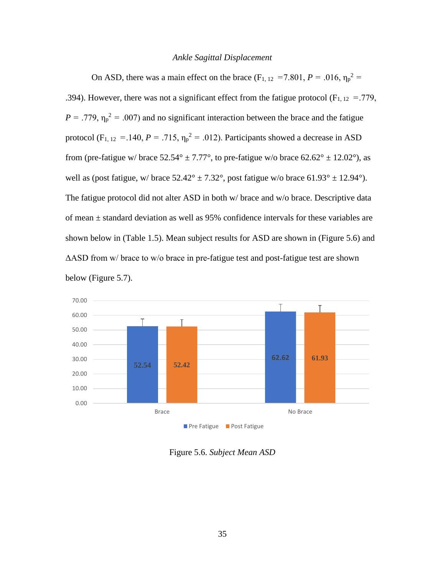### *Ankle Sagittal Displacement*

<span id="page-42-0"></span>On ASD, there was a main effect on the brace ( $F_{1, 12} = 7.801$ ,  $P = .016$ ,  $\eta_p^2 =$ .394). However, there was not a significant effect from the fatigue protocol ( $F_{1, 12} = .779$ ,  $P = .779$ ,  $\eta_p^2 = .007$ ) and no significant interaction between the brace and the fatigue protocol (F<sub>1, 12</sub> = .140,  $P = .715$ ,  $\eta_p^2 = .012$ ). Participants showed a decrease in ASD from (pre-fatigue w/ brace  $52.54^{\circ} \pm 7.77^{\circ}$ , to pre-fatigue w/o brace  $62.62^{\circ} \pm 12.02^{\circ}$ ), as well as (post fatigue, w/ brace  $52.42^{\circ} \pm 7.32^{\circ}$ , post fatigue w/o brace  $61.93^{\circ} \pm 12.94^{\circ}$ ). The fatigue protocol did not alter ASD in both w/ brace and w/o brace. Descriptive data of mean ± standard deviation as well as 95% confidence intervals for these variables are shown below in (Table 1.5). Mean subject results for ASD are shown in (Figure 5.6) and ΔASD from w/ brace to w/o brace in pre-fatigue test and post-fatigue test are shown below (Figure 5.7).



Figure 5.6. *Subject Mean ASD*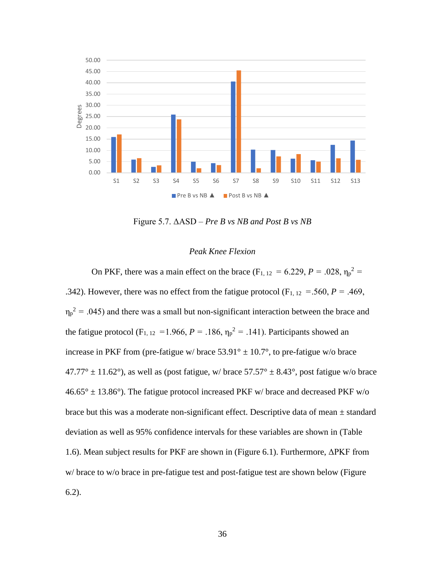

Figure 5.7. ΔASD – *Pre B vs NB and Post B vs NB*

# *Peak Knee Flexion*

<span id="page-43-0"></span>On PKF, there was a main effect on the brace (F<sub>1, 12</sub> = 6.229, P = .028,  $\eta_p^2$  = .342). However, there was no effect from the fatigue protocol ( $F_{1, 12} = .560$ ,  $P = .469$ ,  $\eta_p^2$  = .045) and there was a small but non-significant interaction between the brace and the fatigue protocol ( $F_{1, 12} = 1.966$ ,  $P = .186$ ,  $\eta_p^2 = .141$ ). Participants showed an increase in PKF from (pre-fatigue w/ brace  $53.91^{\circ} \pm 10.7^{\circ}$ , to pre-fatigue w/o brace  $47.77^{\circ} \pm 11.62^{\circ}$ ), as well as (post fatigue, w/ brace  $57.57^{\circ} \pm 8.43^{\circ}$ , post fatigue w/o brace  $46.65^{\circ} \pm 13.86^{\circ}$ ). The fatigue protocol increased PKF w/brace and decreased PKF w/o brace but this was a moderate non-significant effect. Descriptive data of mean  $\pm$  standard deviation as well as 95% confidence intervals for these variables are shown in (Table 1.6). Mean subject results for PKF are shown in (Figure 6.1). Furthermore, ΔPKF from w/ brace to w/o brace in pre-fatigue test and post-fatigue test are shown below (Figure 6.2).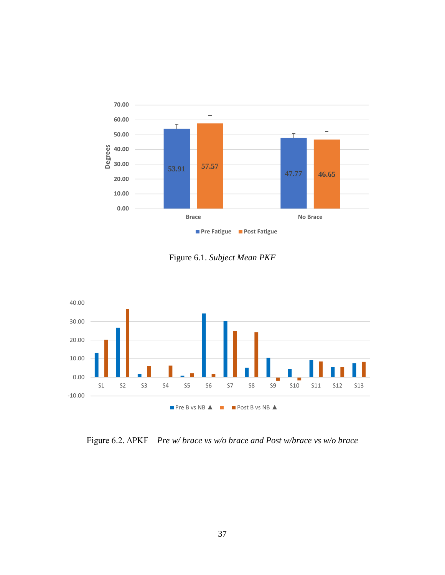

Figure 6.1. *Subject Mean PKF*



Figure 6.2. ΔPKF – *Pre w/ brace vs w/o brace and Post w/brace vs w/o brace*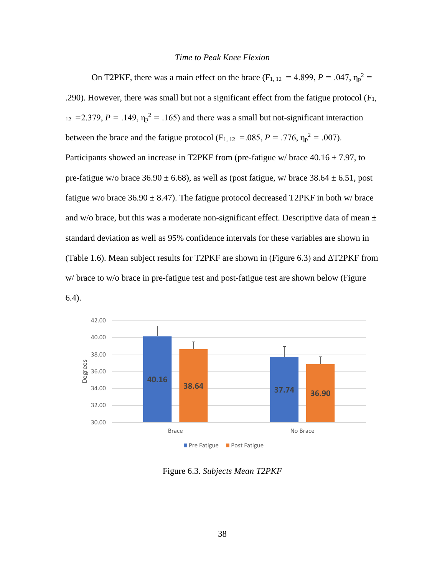### *Time to Peak Knee Flexion*

<span id="page-45-0"></span>On T2PKF, there was a main effect on the brace ( $F_{1, 12} = 4.899$ ,  $P = .047$ ,  $\eta_p^2 =$ .290). However, there was small but not a significant effect from the fatigue protocol  $(F<sub>1</sub>,$  $_{12}$  = 2.379, *P* = .149,  $\eta_p^2$  = .165) and there was a small but not-significant interaction between the brace and the fatigue protocol ( $F_{1, 12} = 0.085$ ,  $P = 0.776$ ,  $\eta_p^2 = 0.007$ ). Participants showed an increase in T2PKF from (pre-fatigue w/ brace  $40.16 \pm 7.97$ , to pre-fatigue w/o brace  $36.90 \pm 6.68$ ), as well as (post fatigue, w/ brace  $38.64 \pm 6.51$ , post fatigue w/o brace  $36.90 \pm 8.47$ ). The fatigue protocol decreased T2PKF in both w/ brace and w/o brace, but this was a moderate non-significant effect. Descriptive data of mean  $\pm$ standard deviation as well as 95% confidence intervals for these variables are shown in (Table 1.6). Mean subject results for T2PKF are shown in (Figure 6.3) and  $\triangle$ T2PKF from w/ brace to w/o brace in pre-fatigue test and post-fatigue test are shown below (Figure





Figure 6.3. *Subjects Mean T2PKF*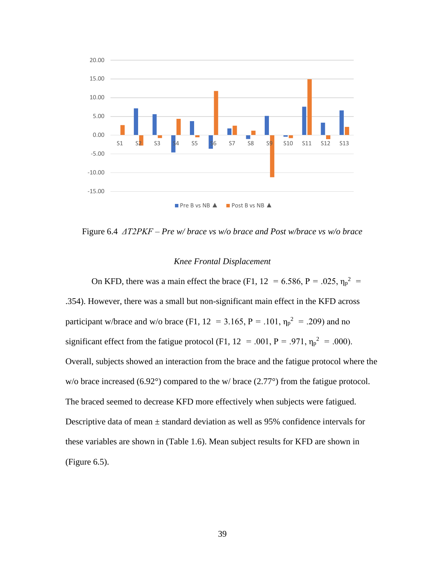

Figure 6.4 *ΔT2PKF – Pre w/ brace vs w/o brace and Post w/brace vs w/o brace*

#### *Knee Frontal Displacement*

<span id="page-46-0"></span>On KFD, there was a main effect the brace (F1, 12 = 6.586, P = .025,  $\eta_p^2$  = .354). However, there was a small but non-significant main effect in the KFD across participant w/brace and w/o brace (F1,  $12 = 3.165$ , P = .101,  $\eta_p^2 = .209$ ) and no significant effect from the fatigue protocol (F1,  $12 = .001$ ,  $P = .971$ ,  $\eta_p^2 = .000$ ). Overall, subjects showed an interaction from the brace and the fatigue protocol where the w/o brace increased (6.92°) compared to the w/ brace (2.77°) from the fatigue protocol. The braced seemed to decrease KFD more effectively when subjects were fatigued. Descriptive data of mean  $\pm$  standard deviation as well as 95% confidence intervals for these variables are shown in (Table 1.6). Mean subject results for KFD are shown in (Figure 6.5).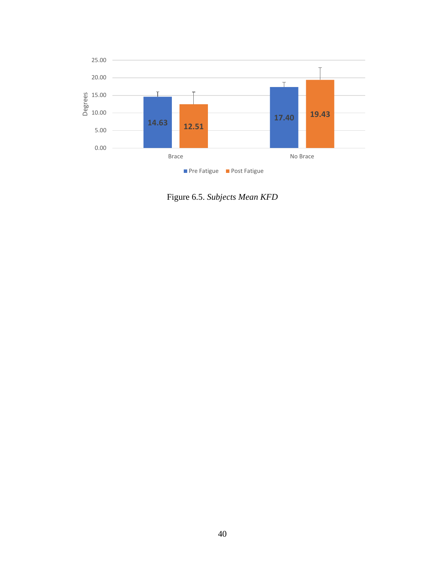

Figure 6.5. *Subjects Mean KFD*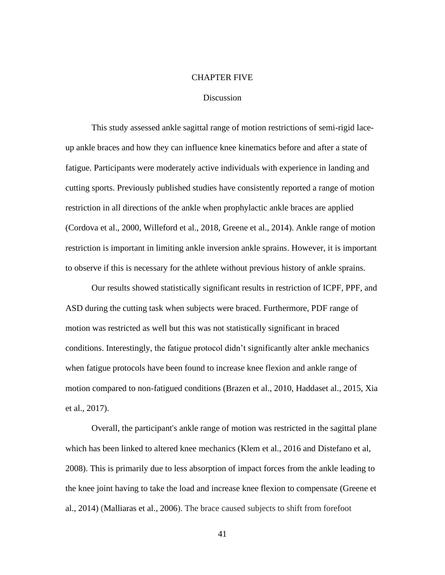### CHAPTER FIVE

### **Discussion**

<span id="page-48-1"></span><span id="page-48-0"></span>This study assessed ankle sagittal range of motion restrictions of semi-rigid laceup ankle braces and how they can influence knee kinematics before and after a state of fatigue. Participants were moderately active individuals with experience in landing and cutting sports. Previously published studies have consistently reported a range of motion restriction in all directions of the ankle when prophylactic ankle braces are applied (Cordova et al., 2000, Willeford et al., 2018, Greene et al., 2014). Ankle range of motion restriction is important in limiting ankle inversion ankle sprains. However, it is important to observe if this is necessary for the athlete without previous history of ankle sprains.

Our results showed statistically significant results in restriction of ICPF, PPF, and ASD during the cutting task when subjects were braced. Furthermore, PDF range of motion was restricted as well but this was not statistically significant in braced conditions. Interestingly, the fatigue protocol didn't significantly alter ankle mechanics when fatigue protocols have been found to increase knee flexion and ankle range of motion compared to non-fatigued conditions (Brazen et al., 2010, Haddaset al., 2015, Xia et al., 2017).

Overall, the participant's ankle range of motion was restricted in the sagittal plane which has been linked to altered knee mechanics (Klem et al., 2016 and Distefano et al, 2008). This is primarily due to less absorption of impact forces from the ankle leading to the knee joint having to take the load and increase knee flexion to compensate (Greene et al., 2014) (Malliaras et al., 2006). The brace caused subjects to shift from forefoot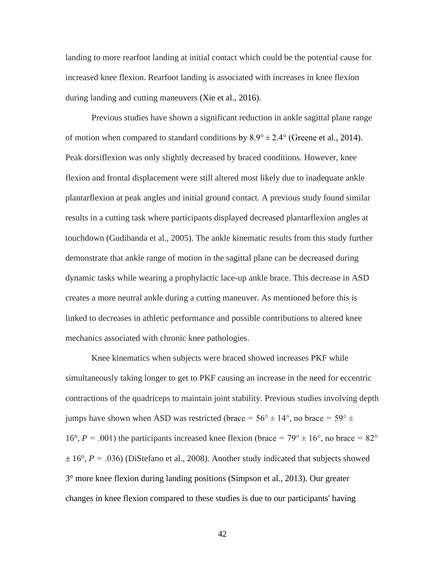landing to more rearfoot landing at initial contact which could be the potential cause for increased knee flexion. Rearfoot landing is associated with increases in knee flexion during landing and cutting maneuvers (Xie et al., 2016).

Previous studies have shown a significant reduction in ankle sagittal plane range of motion when compared to standard conditions by  $8.9^{\circ} \pm 2.4^{\circ}$  (Greene et al., 2014). Peak dorsiflexion was only slightly decreased by braced conditions. However, knee flexion and frontal displacement were still altered most likely due to inadequate ankle plantarflexion at peak angles and initial ground contact. A previous study found similar results in a cutting task where participants displayed decreased plantarflexion angles at touchdown (Gudibanda et al., 2005). The ankle kinematic results from this study further demonstrate that ankle range of motion in the sagittal plane can be decreased during dynamic tasks while wearing a prophylactic lace-up ankle brace. This decrease in ASD creates a more neutral ankle during a cutting maneuver. As mentioned before this is linked to decreases in athletic performance and possible contributions to altered knee mechanics associated with chronic knee pathologies.

Knee kinematics when subjects were braced showed increases PKF while simultaneously taking longer to get to PKF causing an increase in the need for eccentric contractions of the quadriceps to maintain joint stability. Previous studies involving depth jumps have shown when ASD was restricted (brace  $= 56^{\circ} \pm 14^{\circ}$ , no brace  $= 59^{\circ} \pm 14^{\circ}$ 16°,  $P = .001$ ) the participants increased knee flexion (brace =  $79^{\circ} \pm 16^{\circ}$ , no brace =  $82^{\circ}$ )  $\pm 16^{\circ}$ , *P* = .036) (DiStefano et al., 2008). Another study indicated that subjects showed 3° more knee flexion during landing positions (Simpson et al., 2013). Our greater changes in knee flexion compared to these studies is due to our participants' having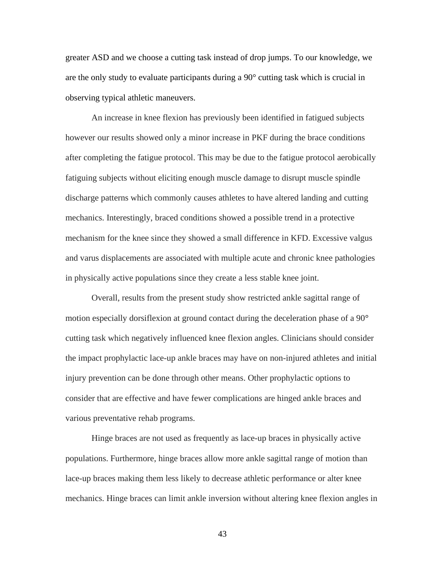greater ASD and we choose a cutting task instead of drop jumps. To our knowledge, we are the only study to evaluate participants during a 90° cutting task which is crucial in observing typical athletic maneuvers.

An increase in knee flexion has previously been identified in fatigued subjects however our results showed only a minor increase in PKF during the brace conditions after completing the fatigue protocol. This may be due to the fatigue protocol aerobically fatiguing subjects without eliciting enough muscle damage to disrupt muscle spindle discharge patterns which commonly causes athletes to have altered landing and cutting mechanics. Interestingly, braced conditions showed a possible trend in a protective mechanism for the knee since they showed a small difference in KFD. Excessive valgus and varus displacements are associated with multiple acute and chronic knee pathologies in physically active populations since they create a less stable knee joint.

Overall, results from the present study show restricted ankle sagittal range of motion especially dorsiflexion at ground contact during the deceleration phase of a 90° cutting task which negatively influenced knee flexion angles. Clinicians should consider the impact prophylactic lace-up ankle braces may have on non-injured athletes and initial injury prevention can be done through other means. Other prophylactic options to consider that are effective and have fewer complications are hinged ankle braces and various preventative rehab programs.

Hinge braces are not used as frequently as lace-up braces in physically active populations. Furthermore, hinge braces allow more ankle sagittal range of motion than lace-up braces making them less likely to decrease athletic performance or alter knee mechanics. Hinge braces can limit ankle inversion without altering knee flexion angles in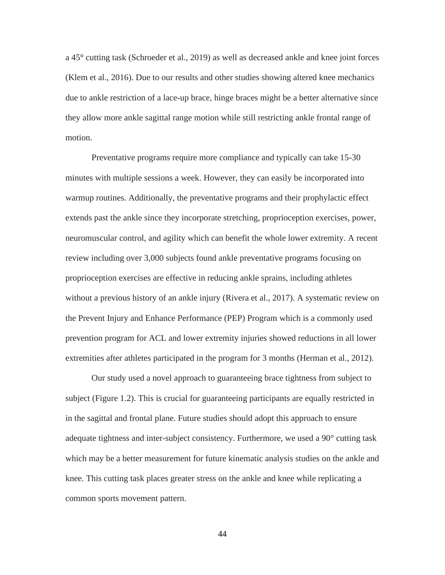a 45° cutting task (Schroeder et al., 2019) as well as decreased ankle and knee joint forces (Klem et al., 2016). Due to our results and other studies showing altered knee mechanics due to ankle restriction of a lace-up brace, hinge braces might be a better alternative since they allow more ankle sagittal range motion while still restricting ankle frontal range of motion.

Preventative programs require more compliance and typically can take 15-30 minutes with multiple sessions a week. However, they can easily be incorporated into warmup routines. Additionally, the preventative programs and their prophylactic effect extends past the ankle since they incorporate stretching, proprioception exercises, power, neuromuscular control, and agility which can benefit the whole lower extremity. A recent review including over 3,000 subjects found ankle preventative programs focusing on proprioception exercises are effective in reducing ankle sprains, including athletes without a previous history of an ankle injury (Rivera et al., 2017). A systematic review on the Prevent Injury and Enhance Performance (PEP) Program which is a commonly used prevention program for ACL and lower extremity injuries showed reductions in all lower extremities after athletes participated in the program for 3 months (Herman et al., 2012).

Our study used a novel approach to guaranteeing brace tightness from subject to subject (Figure 1.2). This is crucial for guaranteeing participants are equally restricted in in the sagittal and frontal plane. Future studies should adopt this approach to ensure adequate tightness and inter-subject consistency. Furthermore, we used a 90° cutting task which may be a better measurement for future kinematic analysis studies on the ankle and knee. This cutting task places greater stress on the ankle and knee while replicating a common sports movement pattern.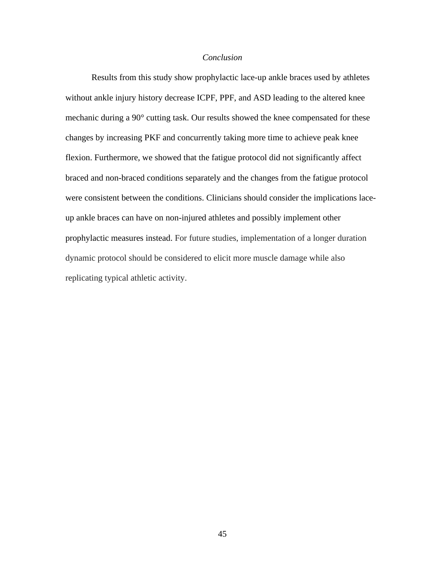# *Conclusion*

<span id="page-52-0"></span>Results from this study show prophylactic lace-up ankle braces used by athletes without ankle injury history decrease ICPF, PPF, and ASD leading to the altered knee mechanic during a 90° cutting task. Our results showed the knee compensated for these changes by increasing PKF and concurrently taking more time to achieve peak knee flexion. Furthermore, we showed that the fatigue protocol did not significantly affect braced and non-braced conditions separately and the changes from the fatigue protocol were consistent between the conditions. Clinicians should consider the implications laceup ankle braces can have on non-injured athletes and possibly implement other prophylactic measures instead. For future studies, implementation of a longer duration dynamic protocol should be considered to elicit more muscle damage while also replicating typical athletic activity.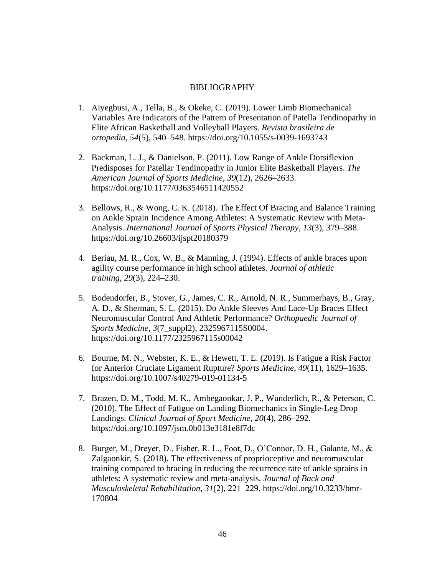### BIBLIOGRAPHY

- <span id="page-53-0"></span>1. Aiyegbusi, A., Tella, B., & Okeke, C. (2019). Lower Limb Biomechanical Variables Are Indicators of the Pattern of Presentation of Patella Tendinopathy in Elite African Basketball and Volleyball Players. *Revista brasileira de ortopedia*, *54*(5), 540–548.<https://doi.org/10.1055/s-0039-1693743>
- 2. Backman, L. J., & Danielson, P. (2011). Low Range of Ankle Dorsiflexion Predisposes for Patellar Tendinopathy in Junior Elite Basketball Players. *The American Journal of Sports Medicine*, *39*(12), 2626–2633. <https://doi.org/10.1177/0363546511420552>
- 3. Bellows, R., & Wong, C. K. (2018). The Effect Of Bracing and Balance Training on Ankle Sprain Incidence Among Athletes: A Systematic Review with Meta-Analysis. *International Journal of Sports Physical Therapy*, *13*(3), 379–388. <https://doi.org/10.26603/ijspt20180379>
- 4. Beriau, M. R., Cox, W. B., & Manning, J. (1994). Effects of ankle braces upon agility course performance in high school athletes. *Journal of athletic training*, *29*(3), 224–230.
- 5. Bodendorfer, B., Stover, G., James, C. R., Arnold, N. R., Summerhays, B., Gray, A. D., & Sherman, S. L. (2015). Do Ankle Sleeves And Lace-Up Braces Effect Neuromuscular Control And Athletic Performance? *Orthopaedic Journal of Sports Medicine*, *3*(7\_suppl2), 2325967115S0004. <https://doi.org/10.1177/2325967115s00042>
- 6. Bourne, M. N., Webster, K. E., & Hewett, T. E. (2019). Is Fatigue a Risk Factor for Anterior Cruciate Ligament Rupture? *Sports Medicine*, *49*(11), 1629–1635. <https://doi.org/10.1007/s40279-019-01134-5>
- 7. Brazen, D. M., Todd, M. K., Ambegaonkar, J. P., Wunderlich, R., & Peterson, C. (2010). The Effect of Fatigue on Landing Biomechanics in Single-Leg Drop Landings. *Clinical Journal of Sport Medicine*, *20*(4), 286–292. <https://doi.org/10.1097/jsm.0b013e3181e8f7dc>
- 8. Burger, M., Dreyer, D., Fisher, R. L., Foot, D., O'Connor, D. H., Galante, M., & Zalgaonkir, S. (2018). The effectiveness of proprioceptive and neuromuscular training compared to bracing in reducing the recurrence rate of ankle sprains in athletes: A systematic review and meta-analysis. *Journal of Back and Musculoskeletal Rehabilitation*, *31*(2), 221–229. [https://doi.org/10.3233/bmr-](https://doi.org/10.3233/bmr-170804)[170804](https://doi.org/10.3233/bmr-170804)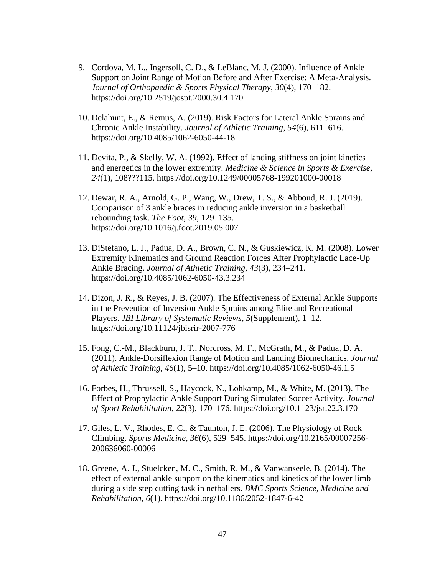- 9. Cordova, M. L., Ingersoll, C. D., & LeBlanc, M. J. (2000). Influence of Ankle Support on Joint Range of Motion Before and After Exercise: A Meta-Analysis. *Journal of Orthopaedic & Sports Physical Therapy*, *30*(4), 170–182. <https://doi.org/10.2519/jospt.2000.30.4.170>
- 10. Delahunt, E., & Remus, A. (2019). Risk Factors for Lateral Ankle Sprains and Chronic Ankle Instability. *Journal of Athletic Training*, *54*(6), 611–616. <https://doi.org/10.4085/1062-6050-44-18>
- 11. Devita, P., & Skelly, W. A. (1992). Effect of landing stiffness on joint kinetics and energetics in the lower extremity. *Medicine & Science in Sports & Exercise*, *24*(1), 108???115.<https://doi.org/10.1249/00005768-199201000-00018>
- 12. Dewar, R. A., Arnold, G. P., Wang, W., Drew, T. S., & Abboud, R. J. (2019). Comparison of 3 ankle braces in reducing ankle inversion in a basketball rebounding task. *The Foot*, *39*, 129–135. <https://doi.org/10.1016/j.foot.2019.05.007>
- 13. DiStefano, L. J., Padua, D. A., Brown, C. N., & Guskiewicz, K. M. (2008). Lower Extremity Kinematics and Ground Reaction Forces After Prophylactic Lace-Up Ankle Bracing. *Journal of Athletic Training*, *43*(3), 234–241. <https://doi.org/10.4085/1062-6050-43.3.234>
- 14. Dizon, J. R., & Reyes, J. B. (2007). The Effectiveness of External Ankle Supports in the Prevention of Inversion Ankle Sprains among Elite and Recreational Players. *JBI Library of Systematic Reviews*, *5*(Supplement), 1–12. <https://doi.org/10.11124/jbisrir-2007-776>
- 15. Fong, C.-M., Blackburn, J. T., Norcross, M. F., McGrath, M., & Padua, D. A. (2011). Ankle-Dorsiflexion Range of Motion and Landing Biomechanics. *Journal of Athletic Training*, *46*(1), 5–10.<https://doi.org/10.4085/1062-6050-46.1.5>
- 16. Forbes, H., Thrussell, S., Haycock, N., Lohkamp, M., & White, M. (2013). The Effect of Prophylactic Ankle Support During Simulated Soccer Activity. *Journal of Sport Rehabilitation*, *22*(3), 170–176.<https://doi.org/10.1123/jsr.22.3.170>
- 17. Giles, L. V., Rhodes, E. C., & Taunton, J. E. (2006). The Physiology of Rock Climbing. *Sports Medicine*, *36*(6), 529–545. [https://doi.org/10.2165/00007256-](https://doi.org/10.2165/00007256-200636060-00006) [200636060-00006](https://doi.org/10.2165/00007256-200636060-00006)
- 18. Greene, A. J., Stuelcken, M. C., Smith, R. M., & Vanwanseele, B. (2014). The effect of external ankle support on the kinematics and kinetics of the lower limb during a side step cutting task in netballers. *BMC Sports Science, Medicine and Rehabilitation*, *6*(1).<https://doi.org/10.1186/2052-1847-6-42>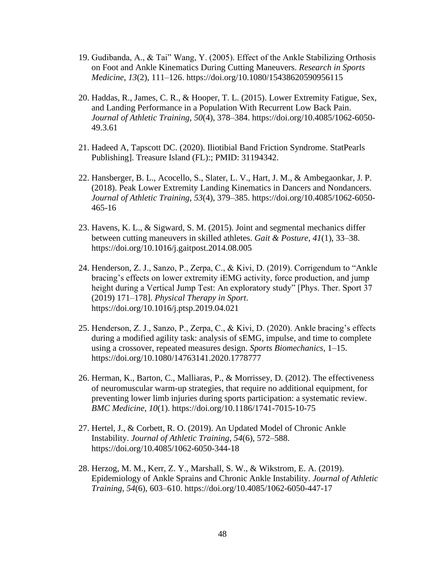- 19. Gudibanda, A., & Tai" Wang, Y. (2005). Effect of the Ankle Stabilizing Orthosis on Foot and Ankle Kinematics During Cutting Maneuvers. *Research in Sports Medicine*, *13*(2), 111–126.<https://doi.org/10.1080/15438620590956115>
- 20. Haddas, R., James, C. R., & Hooper, T. L. (2015). Lower Extremity Fatigue, Sex, and Landing Performance in a Population With Recurrent Low Back Pain. *Journal of Athletic Training*, *50*(4), 378–384. [https://doi.org/10.4085/1062-6050-](https://doi.org/10.4085/1062-6050-49.3.61) [49.3.61](https://doi.org/10.4085/1062-6050-49.3.61)
- 21. Hadeed A, Tapscott DC. (2020). Iliotibial Band Friction Syndrome. StatPearls Publishing]. Treasure Island (FL):; PMID: 31194342.
- 22. Hansberger, B. L., Acocello, S., Slater, L. V., Hart, J. M., & Ambegaonkar, J. P. (2018). Peak Lower Extremity Landing Kinematics in Dancers and Nondancers. *Journal of Athletic Training*, *53*(4), 379–385. [https://doi.org/10.4085/1062-6050-](https://doi.org/10.4085/1062-6050-465-16) [465-16](https://doi.org/10.4085/1062-6050-465-16)
- 23. Havens, K. L., & Sigward, S. M. (2015). Joint and segmental mechanics differ between cutting maneuvers in skilled athletes. *Gait & Posture*, *41*(1), 33–38. <https://doi.org/10.1016/j.gaitpost.2014.08.005>
- 24. Henderson, Z. J., Sanzo, P., Zerpa, C., & Kivi, D. (2019). Corrigendum to "Ankle bracing's effects on lower extremity iEMG activity, force production, and jump height during a Vertical Jump Test: An exploratory study" [Phys. Ther. Sport 37 (2019) 171–178]. *Physical Therapy in Sport*. <https://doi.org/10.1016/j.ptsp.2019.04.021>
- 25. Henderson, Z. J., Sanzo, P., Zerpa, C., & Kivi, D. (2020). Ankle bracing's effects during a modified agility task: analysis of sEMG, impulse, and time to complete using a crossover, repeated measures design. *Sports Biomechanics*, 1–15. <https://doi.org/10.1080/14763141.2020.1778777>
- 26. Herman, K., Barton, C., Malliaras, P., & Morrissey, D. (2012). The effectiveness of neuromuscular warm-up strategies, that require no additional equipment, for preventing lower limb injuries during sports participation: a systematic review. *BMC Medicine*, *10*(1).<https://doi.org/10.1186/1741-7015-10-75>
- 27. Hertel, J., & Corbett, R. O. (2019). An Updated Model of Chronic Ankle Instability. *Journal of Athletic Training*, *54*(6), 572–588. <https://doi.org/10.4085/1062-6050-344-18>
- 28. Herzog, M. M., Kerr, Z. Y., Marshall, S. W., & Wikstrom, E. A. (2019). Epidemiology of Ankle Sprains and Chronic Ankle Instability. *Journal of Athletic Training*, *54*(6), 603–610.<https://doi.org/10.4085/1062-6050-447-17>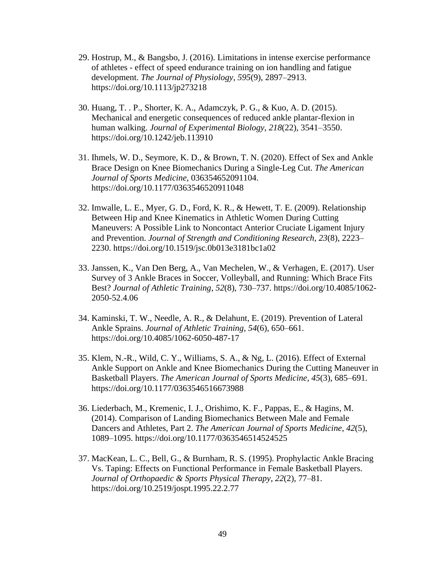- 29. Hostrup, M., & Bangsbo, J. (2016). Limitations in intense exercise performance of athletes - effect of speed endurance training on ion handling and fatigue development. *The Journal of Physiology*, *595*(9), 2897–2913. <https://doi.org/10.1113/jp273218>
- 30. Huang, T. . P., Shorter, K. A., Adamczyk, P. G., & Kuo, A. D. (2015). Mechanical and energetic consequences of reduced ankle plantar-flexion in human walking. *Journal of Experimental Biology*, *218*(22), 3541–3550. <https://doi.org/10.1242/jeb.113910>
- 31. Ihmels, W. D., Seymore, K. D., & Brown, T. N. (2020). Effect of Sex and Ankle Brace Design on Knee Biomechanics During a Single-Leg Cut. *The American Journal of Sports Medicine*, 036354652091104. <https://doi.org/10.1177/0363546520911048>
- 32. Imwalle, L. E., Myer, G. D., Ford, K. R., & Hewett, T. E. (2009). Relationship Between Hip and Knee Kinematics in Athletic Women During Cutting Maneuvers: A Possible Link to Noncontact Anterior Cruciate Ligament Injury and Prevention. *Journal of Strength and Conditioning Research*, *23*(8), 2223– 2230.<https://doi.org/10.1519/jsc.0b013e3181bc1a02>
- 33. Janssen, K., Van Den Berg, A., Van Mechelen, W., & Verhagen, E. (2017). User Survey of 3 Ankle Braces in Soccer, Volleyball, and Running: Which Brace Fits Best? *Journal of Athletic Training*, *52*(8), 730–737. [https://doi.org/10.4085/1062-](https://doi.org/10.4085/1062-2050-52.4.06) [2050-52.4.06](https://doi.org/10.4085/1062-2050-52.4.06)
- 34. Kaminski, T. W., Needle, A. R., & Delahunt, E. (2019). Prevention of Lateral Ankle Sprains. *Journal of Athletic Training*, *54*(6), 650–661. <https://doi.org/10.4085/1062-6050-487-17>
- 35. Klem, N.-R., Wild, C. Y., Williams, S. A., & Ng, L. (2016). Effect of External Ankle Support on Ankle and Knee Biomechanics During the Cutting Maneuver in Basketball Players. *The American Journal of Sports Medicine*, *45*(3), 685–691. <https://doi.org/10.1177/0363546516673988>
- 36. Liederbach, M., Kremenic, I. J., Orishimo, K. F., Pappas, E., & Hagins, M. (2014). Comparison of Landing Biomechanics Between Male and Female Dancers and Athletes, Part 2. *The American Journal of Sports Medicine*, *42*(5), 1089–1095.<https://doi.org/10.1177/0363546514524525>
- 37. MacKean, L. C., Bell, G., & Burnham, R. S. (1995). Prophylactic Ankle Bracing Vs. Taping: Effects on Functional Performance in Female Basketball Players. *Journal of Orthopaedic & Sports Physical Therapy*, *22*(2), 77–81. <https://doi.org/10.2519/jospt.1995.22.2.77>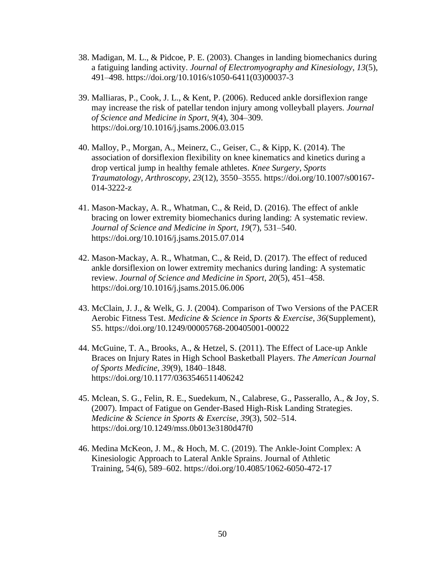- 38. Madigan, M. L., & Pidcoe, P. E. (2003). Changes in landing biomechanics during a fatiguing landing activity. *Journal of Electromyography and Kinesiology*, *13*(5), 491–498. [https://doi.org/10.1016/s1050-6411\(03\)00037-3](https://doi.org/10.1016/s1050-6411(03)00037-3)
- 39. Malliaras, P., Cook, J. L., & Kent, P. (2006). Reduced ankle dorsiflexion range may increase the risk of patellar tendon injury among volleyball players. *Journal of Science and Medicine in Sport*, *9*(4), 304–309. <https://doi.org/10.1016/j.jsams.2006.03.015>
- 40. Malloy, P., Morgan, A., Meinerz, C., Geiser, C., & Kipp, K. (2014). The association of dorsiflexion flexibility on knee kinematics and kinetics during a drop vertical jump in healthy female athletes. *Knee Surgery, Sports Traumatology, Arthroscopy*, *23*(12), 3550–3555. [https://doi.org/10.1007/s00167-](https://doi.org/10.1007/s00167-014-3222-z) [014-3222-z](https://doi.org/10.1007/s00167-014-3222-z)
- 41. Mason-Mackay, A. R., Whatman, C., & Reid, D. (2016). The effect of ankle bracing on lower extremity biomechanics during landing: A systematic review. *Journal of Science and Medicine in Sport*, *19*(7), 531–540. <https://doi.org/10.1016/j.jsams.2015.07.014>
- 42. Mason-Mackay, A. R., Whatman, C., & Reid, D. (2017). The effect of reduced ankle dorsiflexion on lower extremity mechanics during landing: A systematic review. *Journal of Science and Medicine in Sport*, *20*(5), 451–458. <https://doi.org/10.1016/j.jsams.2015.06.006>
- 43. McClain, J. J., & Welk, G. J. (2004). Comparison of Two Versions of the PACER Aerobic Fitness Test. *Medicine & Science in Sports & Exercise*, *36*(Supplement), S5.<https://doi.org/10.1249/00005768-200405001-00022>
- 44. McGuine, T. A., Brooks, A., & Hetzel, S. (2011). The Effect of Lace-up Ankle Braces on Injury Rates in High School Basketball Players. *The American Journal of Sports Medicine*, *39*(9), 1840–1848. <https://doi.org/10.1177/0363546511406242>
- 45. Mclean, S. G., Felin, R. E., Suedekum, N., Calabrese, G., Passerallo, A., & Joy, S. (2007). Impact of Fatigue on Gender-Based High-Risk Landing Strategies. *Medicine & Science in Sports & Exercise*, *39*(3), 502–514. <https://doi.org/10.1249/mss.0b013e3180d47f0>
- 46. Medina McKeon, J. M., & Hoch, M. C. (2019). The Ankle-Joint Complex: A Kinesiologic Approach to Lateral Ankle Sprains. Journal of Athletic Training, 54(6), 589–602. https://doi.org/10.4085/1062-6050-472-17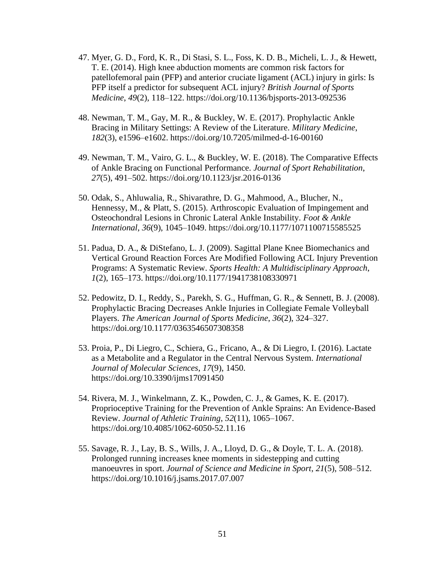- 47. Myer, G. D., Ford, K. R., Di Stasi, S. L., Foss, K. D. B., Micheli, L. J., & Hewett, T. E. (2014). High knee abduction moments are common risk factors for patellofemoral pain (PFP) and anterior cruciate ligament (ACL) injury in girls: Is PFP itself a predictor for subsequent ACL injury? *British Journal of Sports Medicine*, *49*(2), 118–122.<https://doi.org/10.1136/bjsports-2013-092536>
- 48. Newman, T. M., Gay, M. R., & Buckley, W. E. (2017). Prophylactic Ankle Bracing in Military Settings: A Review of the Literature. *Military Medicine*, *182*(3), e1596–e1602.<https://doi.org/10.7205/milmed-d-16-00160>
- 49. Newman, T. M., Vairo, G. L., & Buckley, W. E. (2018). The Comparative Effects of Ankle Bracing on Functional Performance. *Journal of Sport Rehabilitation*, *27*(5), 491–502.<https://doi.org/10.1123/jsr.2016-0136>
- 50. Odak, S., Ahluwalia, R., Shivarathre, D. G., Mahmood, A., Blucher, N., Hennessy, M., & Platt, S. (2015). Arthroscopic Evaluation of Impingement and Osteochondral Lesions in Chronic Lateral Ankle Instability. *Foot & Ankle International*, *36*(9), 1045–1049.<https://doi.org/10.1177/1071100715585525>
- 51. Padua, D. A., & DiStefano, L. J. (2009). Sagittal Plane Knee Biomechanics and Vertical Ground Reaction Forces Are Modified Following ACL Injury Prevention Programs: A Systematic Review. *Sports Health: A Multidisciplinary Approach*, *1*(2), 165–173.<https://doi.org/10.1177/1941738108330971>
- 52. Pedowitz, D. I., Reddy, S., Parekh, S. G., Huffman, G. R., & Sennett, B. J. (2008). Prophylactic Bracing Decreases Ankle Injuries in Collegiate Female Volleyball Players. *The American Journal of Sports Medicine*, *36*(2), 324–327. <https://doi.org/10.1177/0363546507308358>
- 53. Proia, P., Di Liegro, C., Schiera, G., Fricano, A., & Di Liegro, I. (2016). Lactate as a Metabolite and a Regulator in the Central Nervous System. *International Journal of Molecular Sciences*, *17*(9), 1450. <https://doi.org/10.3390/ijms17091450>
- 54. Rivera, M. J., Winkelmann, Z. K., Powden, C. J., & Games, K. E. (2017). Proprioceptive Training for the Prevention of Ankle Sprains: An Evidence-Based Review. *Journal of Athletic Training*, *52*(11), 1065–1067. <https://doi.org/10.4085/1062-6050-52.11.16>
- 55. Savage, R. J., Lay, B. S., Wills, J. A., Lloyd, D. G., & Doyle, T. L. A. (2018). Prolonged running increases knee moments in sidestepping and cutting manoeuvres in sport. *Journal of Science and Medicine in Sport*, *21*(5), 508–512. <https://doi.org/10.1016/j.jsams.2017.07.007>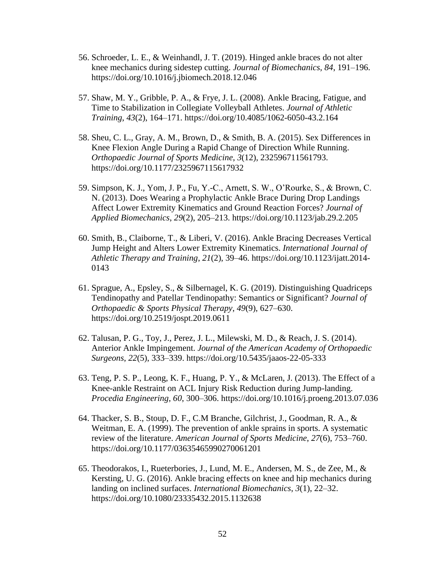- 56. Schroeder, L. E., & Weinhandl, J. T. (2019). Hinged ankle braces do not alter knee mechanics during sidestep cutting. *Journal of Biomechanics*, *84*, 191–196. <https://doi.org/10.1016/j.jbiomech.2018.12.046>
- 57. Shaw, M. Y., Gribble, P. A., & Frye, J. L. (2008). Ankle Bracing, Fatigue, and Time to Stabilization in Collegiate Volleyball Athletes. *Journal of Athletic Training*, *43*(2), 164–171.<https://doi.org/10.4085/1062-6050-43.2.164>
- 58. Sheu, C. L., Gray, A. M., Brown, D., & Smith, B. A. (2015). Sex Differences in Knee Flexion Angle During a Rapid Change of Direction While Running. *Orthopaedic Journal of Sports Medicine*, *3*(12), 232596711561793. <https://doi.org/10.1177/2325967115617932>
- 59. Simpson, K. J., Yom, J. P., Fu, Y.-C., Arnett, S. W., O'Rourke, S., & Brown, C. N. (2013). Does Wearing a Prophylactic Ankle Brace During Drop Landings Affect Lower Extremity Kinematics and Ground Reaction Forces? *Journal of Applied Biomechanics*, *29*(2), 205–213.<https://doi.org/10.1123/jab.29.2.205>
- 60. Smith, B., Claiborne, T., & Liberi, V. (2016). Ankle Bracing Decreases Vertical Jump Height and Alters Lower Extremity Kinematics. *International Journal of Athletic Therapy and Training*, *21*(2), 39–46. [https://doi.org/10.1123/ijatt.2014-](https://doi.org/10.1123/ijatt.2014-0143) [0143](https://doi.org/10.1123/ijatt.2014-0143)
- 61. Sprague, A., Epsley, S., & Silbernagel, K. G. (2019). Distinguishing Quadriceps Tendinopathy and Patellar Tendinopathy: Semantics or Significant? *Journal of Orthopaedic & Sports Physical Therapy*, *49*(9), 627–630. <https://doi.org/10.2519/jospt.2019.0611>
- 62. Talusan, P. G., Toy, J., Perez, J. L., Milewski, M. D., & Reach, J. S. (2014). Anterior Ankle Impingement. *Journal of the American Academy of Orthopaedic Surgeons*, *22*(5), 333–339.<https://doi.org/10.5435/jaaos-22-05-333>
- 63. Teng, P. S. P., Leong, K. F., Huang, P. Y., & McLaren, J. (2013). The Effect of a Knee-ankle Restraint on ACL Injury Risk Reduction during Jump-landing. *Procedia Engineering*, *60*, 300–306.<https://doi.org/10.1016/j.proeng.2013.07.036>
- 64. Thacker, S. B., Stoup, D. F., C.M Branche, Gilchrist, J., Goodman, R. A., & Weitman, E. A. (1999). The prevention of ankle sprains in sports. A systematic review of the literature. *American Journal of Sports Medicine*, *27*(6), 753–760. <https://doi.org/10.1177/03635465990270061201>
- 65. Theodorakos, I., Rueterbories, J., Lund, M. E., Andersen, M. S., de Zee, M., & Kersting, U. G. (2016). Ankle bracing effects on knee and hip mechanics during landing on inclined surfaces. *International Biomechanics*, *3*(1), 22–32. <https://doi.org/10.1080/23335432.2015.1132638>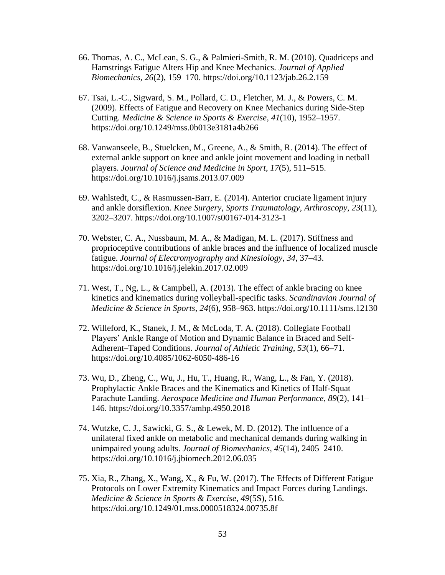- 66. Thomas, A. C., McLean, S. G., & Palmieri-Smith, R. M. (2010). Quadriceps and Hamstrings Fatigue Alters Hip and Knee Mechanics. *Journal of Applied Biomechanics*, *26*(2), 159–170.<https://doi.org/10.1123/jab.26.2.159>
- 67. Tsai, L.-C., Sigward, S. M., Pollard, C. D., Fletcher, M. J., & Powers, C. M. (2009). Effects of Fatigue and Recovery on Knee Mechanics during Side-Step Cutting. *Medicine & Science in Sports & Exercise*, *41*(10), 1952–1957. <https://doi.org/10.1249/mss.0b013e3181a4b266>
- 68. Vanwanseele, B., Stuelcken, M., Greene, A., & Smith, R. (2014). The effect of external ankle support on knee and ankle joint movement and loading in netball players. *Journal of Science and Medicine in Sport*, *17*(5), 511–515. <https://doi.org/10.1016/j.jsams.2013.07.009>
- 69. Wahlstedt, C., & Rasmussen-Barr, E. (2014). Anterior cruciate ligament injury and ankle dorsiflexion. *Knee Surgery, Sports Traumatology, Arthroscopy*, *23*(11), 3202–3207.<https://doi.org/10.1007/s00167-014-3123-1>
- 70. Webster, C. A., Nussbaum, M. A., & Madigan, M. L. (2017). Stiffness and proprioceptive contributions of ankle braces and the influence of localized muscle fatigue. *Journal of Electromyography and Kinesiology*, *34*, 37–43. <https://doi.org/10.1016/j.jelekin.2017.02.009>
- 71. West, T., Ng, L., & Campbell, A. (2013). The effect of ankle bracing on knee kinetics and kinematics during volleyball-specific tasks. *Scandinavian Journal of Medicine & Science in Sports*, *24*(6), 958–963.<https://doi.org/10.1111/sms.12130>
- 72. Willeford, K., Stanek, J. M., & McLoda, T. A. (2018). Collegiate Football Players' Ankle Range of Motion and Dynamic Balance in Braced and Self-Adherent–Taped Conditions. *Journal of Athletic Training*, *53*(1), 66–71. <https://doi.org/10.4085/1062-6050-486-16>
- 73. Wu, D., Zheng, C., Wu, J., Hu, T., Huang, R., Wang, L., & Fan, Y. (2018). Prophylactic Ankle Braces and the Kinematics and Kinetics of Half-Squat Parachute Landing. *Aerospace Medicine and Human Performance*, *89*(2), 141– 146. <https://doi.org/10.3357/amhp.4950.2018>
- 74. Wutzke, C. J., Sawicki, G. S., & Lewek, M. D. (2012). The influence of a unilateral fixed ankle on metabolic and mechanical demands during walking in unimpaired young adults. *Journal of Biomechanics*, *45*(14), 2405–2410. <https://doi.org/10.1016/j.jbiomech.2012.06.035>
- 75. Xia, R., Zhang, X., Wang, X., & Fu, W. (2017). The Effects of Different Fatigue Protocols on Lower Extremity Kinematics and Impact Forces during Landings. *Medicine & Science in Sports & Exercise*, *49*(5S), 516. <https://doi.org/10.1249/01.mss.0000518324.00735.8f>